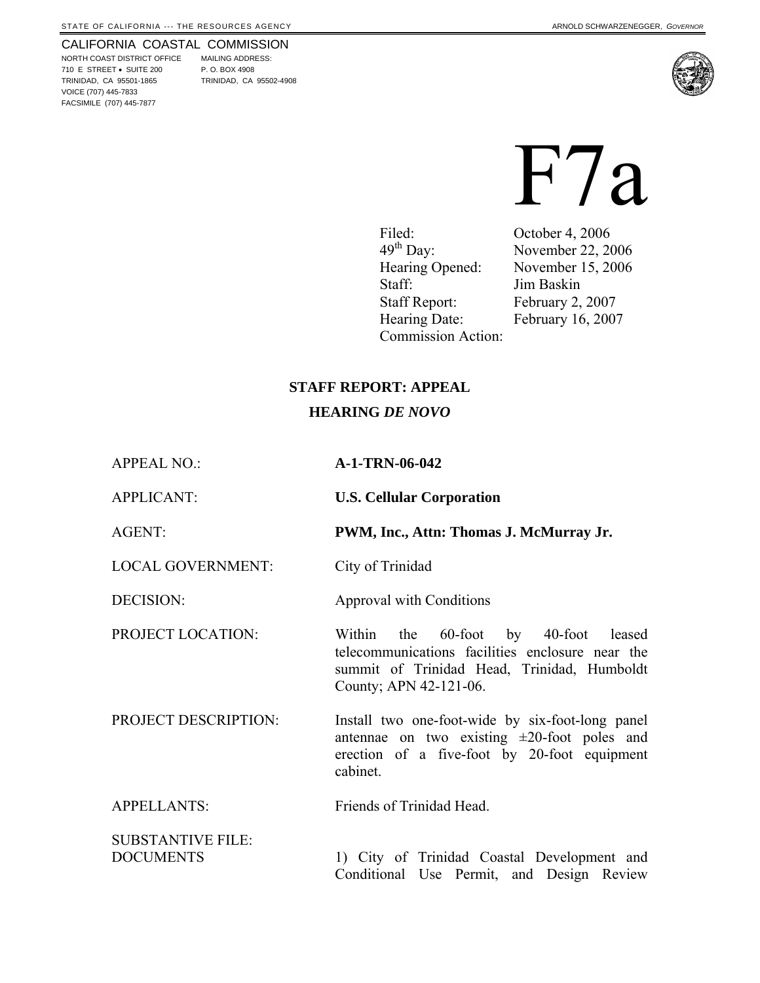#### CALIFORNIA COASTAL COMMISSION

NORTH COAST DISTRICT OFFICE MAILING ADDRESS: 710 E STREET • SUITE 200 P. O. BOX 4908 TRINIDAD, CA 95501-1865 TRINIDAD, CA 95502-4908 VOICE (707) 445-7833 FACSIMILE (707) 445-7877



# F7a

Filed: October 4, 2006<br>49<sup>th</sup> Day: November 22, 20 Hearing Opened: November 15, 2006 Staff: Jim Baskin Staff Report: February 2, 2007 Hearing Date: February 16, 2007 Commission Action:

November 22, 2006

#### **STAFF REPORT: APPEAL**

#### **HEARING** *DE NOVO*

APPEAL NO.: **A-1-TRN-06-042**

APPLICANT: **U.S. Cellular Corporation** 

AGENT: **PWM, Inc., Attn: Thomas J. McMurray Jr.**

LOCAL GOVERNMENT: City of Trinidad

DECISION: Approval with Conditions

PROJECT LOCATION: Within the 60-foot by 40-foot leased

PROJECT DESCRIPTION: Install two one-foot-wide by six-foot-long panel antennae on two existing  $\pm 20$ -foot poles and erection of a five-foot by 20-foot equipment cabinet.

telecommunications facilities enclosure near the summit of Trinidad Head, Trinidad, Humboldt

APPELLANTS: Friends of Trinidad Head.

SUBSTANTIVE FILE:

County; APN 42-121-06.

DOCUMENTS 1) City of Trinidad Coastal Development and Conditional Use Permit, and Design Review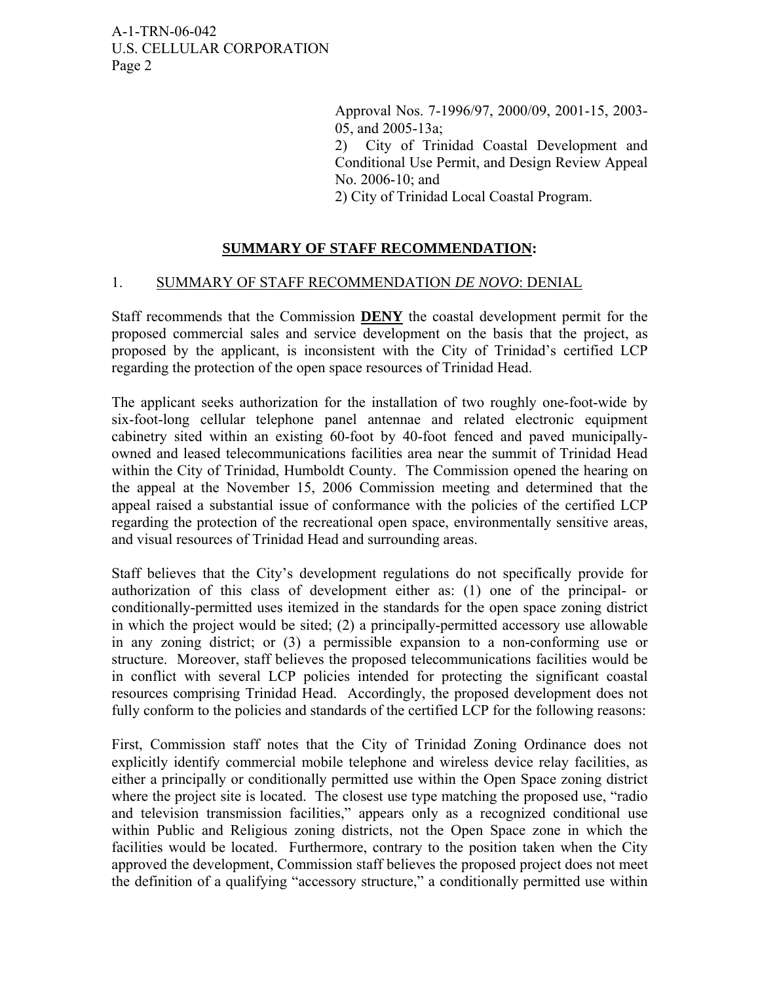> Approval Nos. 7-1996/97, 2000/09, 2001-15, 2003- 05, and 2005-13a;

> 2) City of Trinidad Coastal Development and Conditional Use Permit, and Design Review Appeal No. 2006-10; and

2) City of Trinidad Local Coastal Program.

# **SUMMARY OF STAFF RECOMMENDATION:**

#### 1. SUMMARY OF STAFF RECOMMENDATION *DE NOVO*: DENIAL

Staff recommends that the Commission **DENY** the coastal development permit for the proposed commercial sales and service development on the basis that the project, as proposed by the applicant, is inconsistent with the City of Trinidad's certified LCP regarding the protection of the open space resources of Trinidad Head.

The applicant seeks authorization for the installation of two roughly one-foot-wide by six-foot-long cellular telephone panel antennae and related electronic equipment cabinetry sited within an existing 60-foot by 40-foot fenced and paved municipallyowned and leased telecommunications facilities area near the summit of Trinidad Head within the City of Trinidad, Humboldt County. The Commission opened the hearing on the appeal at the November 15, 2006 Commission meeting and determined that the appeal raised a substantial issue of conformance with the policies of the certified LCP regarding the protection of the recreational open space, environmentally sensitive areas, and visual resources of Trinidad Head and surrounding areas.

Staff believes that the City's development regulations do not specifically provide for authorization of this class of development either as: (1) one of the principal- or conditionally-permitted uses itemized in the standards for the open space zoning district in which the project would be sited; (2) a principally-permitted accessory use allowable in any zoning district; or (3) a permissible expansion to a non-conforming use or structure. Moreover, staff believes the proposed telecommunications facilities would be in conflict with several LCP policies intended for protecting the significant coastal resources comprising Trinidad Head. Accordingly, the proposed development does not fully conform to the policies and standards of the certified LCP for the following reasons:

First, Commission staff notes that the City of Trinidad Zoning Ordinance does not explicitly identify commercial mobile telephone and wireless device relay facilities, as either a principally or conditionally permitted use within the Open Space zoning district where the project site is located. The closest use type matching the proposed use, "radio" and television transmission facilities," appears only as a recognized conditional use within Public and Religious zoning districts, not the Open Space zone in which the facilities would be located. Furthermore, contrary to the position taken when the City approved the development, Commission staff believes the proposed project does not meet the definition of a qualifying "accessory structure," a conditionally permitted use within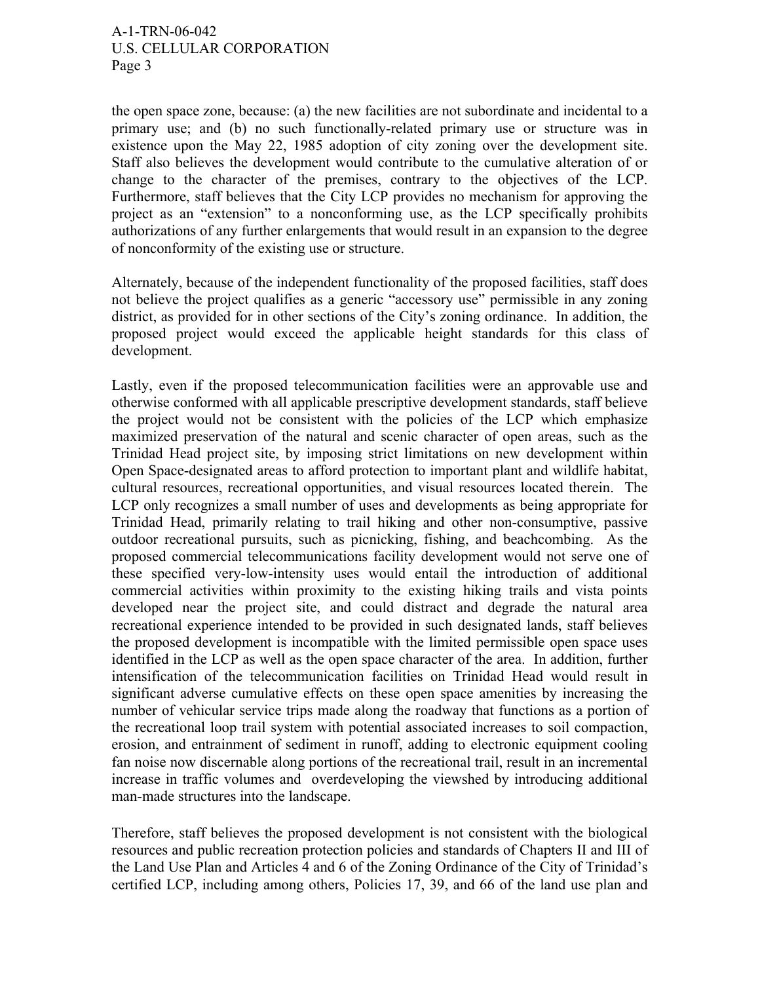the open space zone, because: (a) the new facilities are not subordinate and incidental to a primary use; and (b) no such functionally-related primary use or structure was in existence upon the May 22, 1985 adoption of city zoning over the development site. Staff also believes the development would contribute to the cumulative alteration of or change to the character of the premises, contrary to the objectives of the LCP. Furthermore, staff believes that the City LCP provides no mechanism for approving the project as an "extension" to a nonconforming use, as the LCP specifically prohibits authorizations of any further enlargements that would result in an expansion to the degree of nonconformity of the existing use or structure.

Alternately, because of the independent functionality of the proposed facilities, staff does not believe the project qualifies as a generic "accessory use" permissible in any zoning district, as provided for in other sections of the City's zoning ordinance. In addition, the proposed project would exceed the applicable height standards for this class of development.

Lastly, even if the proposed telecommunication facilities were an approvable use and otherwise conformed with all applicable prescriptive development standards, staff believe the project would not be consistent with the policies of the LCP which emphasize maximized preservation of the natural and scenic character of open areas, such as the Trinidad Head project site, by imposing strict limitations on new development within Open Space-designated areas to afford protection to important plant and wildlife habitat, cultural resources, recreational opportunities, and visual resources located therein. The LCP only recognizes a small number of uses and developments as being appropriate for Trinidad Head, primarily relating to trail hiking and other non-consumptive, passive outdoor recreational pursuits, such as picnicking, fishing, and beachcombing. As the proposed commercial telecommunications facility development would not serve one of these specified very-low-intensity uses would entail the introduction of additional commercial activities within proximity to the existing hiking trails and vista points developed near the project site, and could distract and degrade the natural area recreational experience intended to be provided in such designated lands, staff believes the proposed development is incompatible with the limited permissible open space uses identified in the LCP as well as the open space character of the area. In addition, further intensification of the telecommunication facilities on Trinidad Head would result in significant adverse cumulative effects on these open space amenities by increasing the number of vehicular service trips made along the roadway that functions as a portion of the recreational loop trail system with potential associated increases to soil compaction, erosion, and entrainment of sediment in runoff, adding to electronic equipment cooling fan noise now discernable along portions of the recreational trail, result in an incremental increase in traffic volumes and overdeveloping the viewshed by introducing additional man-made structures into the landscape.

Therefore, staff believes the proposed development is not consistent with the biological resources and public recreation protection policies and standards of Chapters II and III of the Land Use Plan and Articles 4 and 6 of the Zoning Ordinance of the City of Trinidad's certified LCP, including among others, Policies 17, 39, and 66 of the land use plan and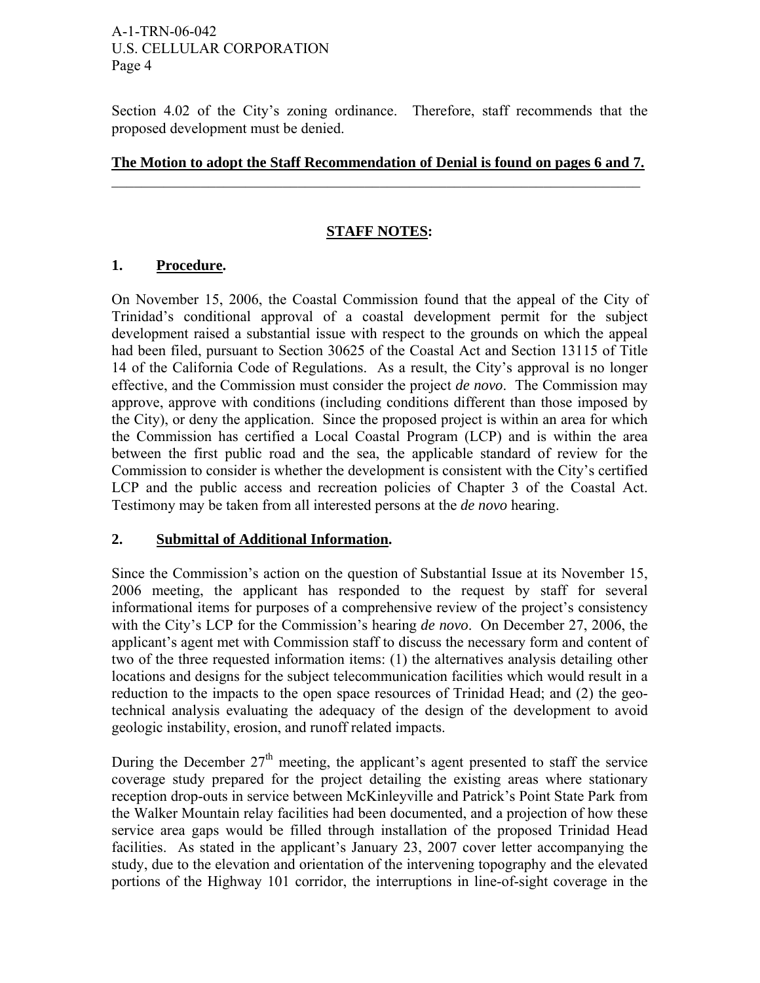Section 4.02 of the City's zoning ordinance. Therefore, staff recommends that the proposed development must be denied.

#### **The Motion to adopt the Staff Recommendation of Denial is found on pages 6 and 7.**  $\_$  , and the contribution of the contribution of  $\mathcal{L}_\mathcal{A}$  , and the contribution of  $\mathcal{L}_\mathcal{A}$

## **STAFF NOTES:**

## **1. Procedure.**

On November 15, 2006, the Coastal Commission found that the appeal of the City of Trinidad's conditional approval of a coastal development permit for the subject development raised a substantial issue with respect to the grounds on which the appeal had been filed, pursuant to Section 30625 of the Coastal Act and Section 13115 of Title 14 of the California Code of Regulations. As a result, the City's approval is no longer effective, and the Commission must consider the project *de novo*. The Commission may approve, approve with conditions (including conditions different than those imposed by the City), or deny the application. Since the proposed project is within an area for which the Commission has certified a Local Coastal Program (LCP) and is within the area between the first public road and the sea, the applicable standard of review for the Commission to consider is whether the development is consistent with the City's certified LCP and the public access and recreation policies of Chapter 3 of the Coastal Act. Testimony may be taken from all interested persons at the *de novo* hearing.

#### **2. Submittal of Additional Information.**

Since the Commission's action on the question of Substantial Issue at its November 15, 2006 meeting, the applicant has responded to the request by staff for several informational items for purposes of a comprehensive review of the project's consistency with the City's LCP for the Commission's hearing *de novo*. On December 27, 2006, the applicant's agent met with Commission staff to discuss the necessary form and content of two of the three requested information items: (1) the alternatives analysis detailing other locations and designs for the subject telecommunication facilities which would result in a reduction to the impacts to the open space resources of Trinidad Head; and (2) the geotechnical analysis evaluating the adequacy of the design of the development to avoid geologic instability, erosion, and runoff related impacts.

During the December  $27<sup>th</sup>$  meeting, the applicant's agent presented to staff the service coverage study prepared for the project detailing the existing areas where stationary reception drop-outs in service between McKinleyville and Patrick's Point State Park from the Walker Mountain relay facilities had been documented, and a projection of how these service area gaps would be filled through installation of the proposed Trinidad Head facilities. As stated in the applicant's January 23, 2007 cover letter accompanying the study, due to the elevation and orientation of the intervening topography and the elevated portions of the Highway 101 corridor, the interruptions in line-of-sight coverage in the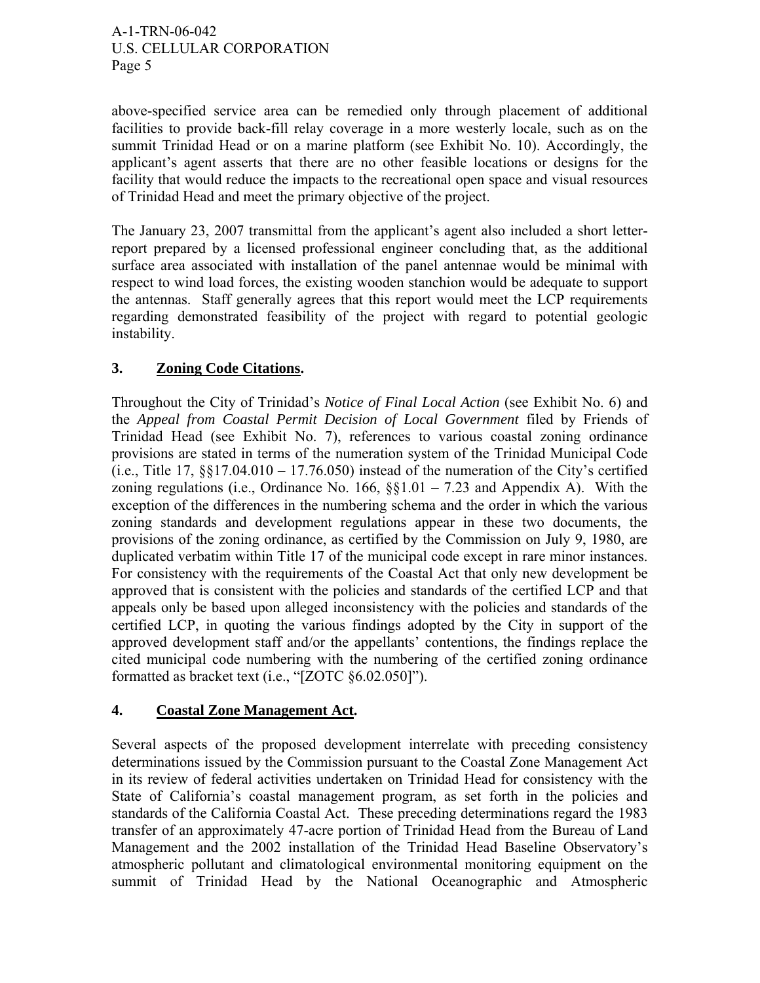above-specified service area can be remedied only through placement of additional facilities to provide back-fill relay coverage in a more westerly locale, such as on the summit Trinidad Head or on a marine platform (see Exhibit No. 10). Accordingly, the applicant's agent asserts that there are no other feasible locations or designs for the facility that would reduce the impacts to the recreational open space and visual resources of Trinidad Head and meet the primary objective of the project.

The January 23, 2007 transmittal from the applicant's agent also included a short letterreport prepared by a licensed professional engineer concluding that, as the additional surface area associated with installation of the panel antennae would be minimal with respect to wind load forces, the existing wooden stanchion would be adequate to support the antennas. Staff generally agrees that this report would meet the LCP requirements regarding demonstrated feasibility of the project with regard to potential geologic instability.

# **3. Zoning Code Citations.**

Throughout the City of Trinidad's *Notice of Final Local Action* (see Exhibit No. 6) and the *Appeal from Coastal Permit Decision of Local Government* filed by Friends of Trinidad Head (see Exhibit No. 7), references to various coastal zoning ordinance provisions are stated in terms of the numeration system of the Trinidad Municipal Code (i.e., Title 17,  $\S$  $\S$ 17.04.010 – 17.76.050) instead of the numeration of the City's certified zoning regulations (i.e., Ordinance No.  $166$ ,  $\S$ § $1.01 - 7.23$  and Appendix A). With the exception of the differences in the numbering schema and the order in which the various zoning standards and development regulations appear in these two documents, the provisions of the zoning ordinance, as certified by the Commission on July 9, 1980, are duplicated verbatim within Title 17 of the municipal code except in rare minor instances. For consistency with the requirements of the Coastal Act that only new development be approved that is consistent with the policies and standards of the certified LCP and that appeals only be based upon alleged inconsistency with the policies and standards of the certified LCP, in quoting the various findings adopted by the City in support of the approved development staff and/or the appellants' contentions, the findings replace the cited municipal code numbering with the numbering of the certified zoning ordinance formatted as bracket text (i.e., "[ZOTC §6.02.050]").

# **4. Coastal Zone Management Act.**

Several aspects of the proposed development interrelate with preceding consistency determinations issued by the Commission pursuant to the Coastal Zone Management Act in its review of federal activities undertaken on Trinidad Head for consistency with the State of California's coastal management program, as set forth in the policies and standards of the California Coastal Act. These preceding determinations regard the 1983 transfer of an approximately 47-acre portion of Trinidad Head from the Bureau of Land Management and the 2002 installation of the Trinidad Head Baseline Observatory's atmospheric pollutant and climatological environmental monitoring equipment on the summit of Trinidad Head by the National Oceanographic and Atmospheric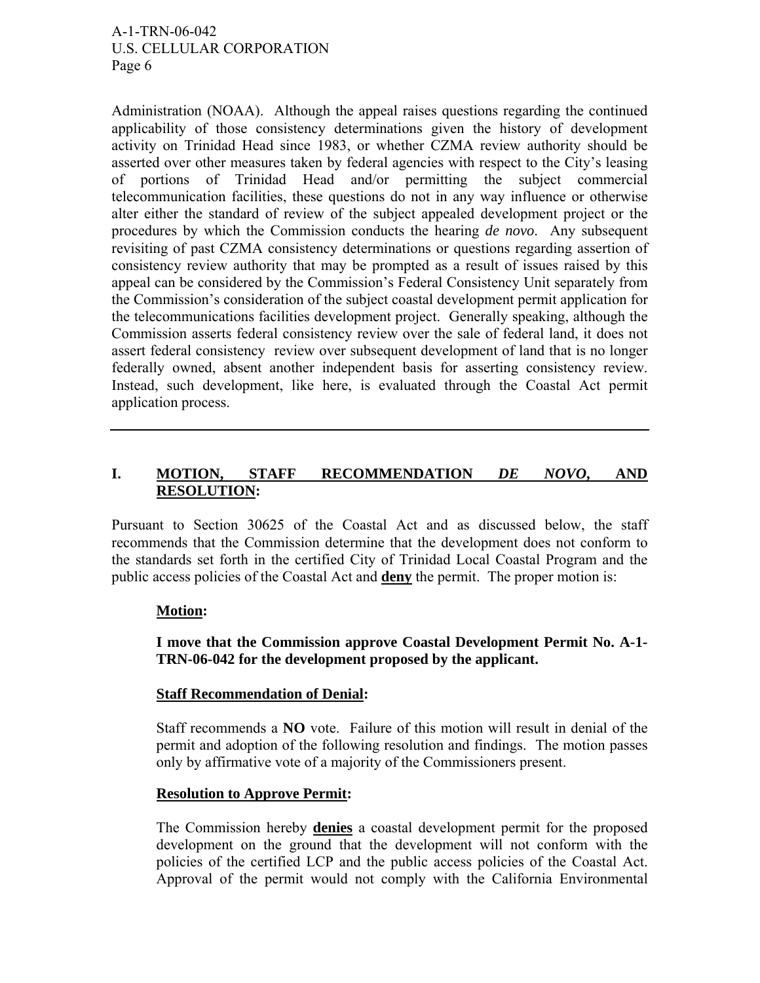Administration (NOAA). Although the appeal raises questions regarding the continued applicability of those consistency determinations given the history of development activity on Trinidad Head since 1983, or whether CZMA review authority should be asserted over other measures taken by federal agencies with respect to the City's leasing of portions of Trinidad Head and/or permitting the subject commercial telecommunication facilities, these questions do not in any way influence or otherwise alter either the standard of review of the subject appealed development project or the procedures by which the Commission conducts the hearing *de novo*. Any subsequent revisiting of past CZMA consistency determinations or questions regarding assertion of consistency review authority that may be prompted as a result of issues raised by this appeal can be considered by the Commission's Federal Consistency Unit separately from the Commission's consideration of the subject coastal development permit application for the telecommunications facilities development project. Generally speaking, although the Commission asserts federal consistency review over the sale of federal land, it does not assert federal consistency review over subsequent development of land that is no longer federally owned, absent another independent basis for asserting consistency review. Instead, such development, like here, is evaluated through the Coastal Act permit application process.

# **I. MOTION, STAFF RECOMMENDATION** *DE NOVO***, AND RESOLUTION:**

Pursuant to Section 30625 of the Coastal Act and as discussed below, the staff recommends that the Commission determine that the development does not conform to the standards set forth in the certified City of Trinidad Local Coastal Program and the public access policies of the Coastal Act and **deny** the permit. The proper motion is:

## **Motion:**

## **I move that the Commission approve Coastal Development Permit No. A-1- TRN-06-042 for the development proposed by the applicant.**

#### **Staff Recommendation of Denial:**

Staff recommends a **NO** vote. Failure of this motion will result in denial of the permit and adoption of the following resolution and findings. The motion passes only by affirmative vote of a majority of the Commissioners present.

#### **Resolution to Approve Permit:**

The Commission hereby **denies** a coastal development permit for the proposed development on the ground that the development will not conform with the policies of the certified LCP and the public access policies of the Coastal Act. Approval of the permit would not comply with the California Environmental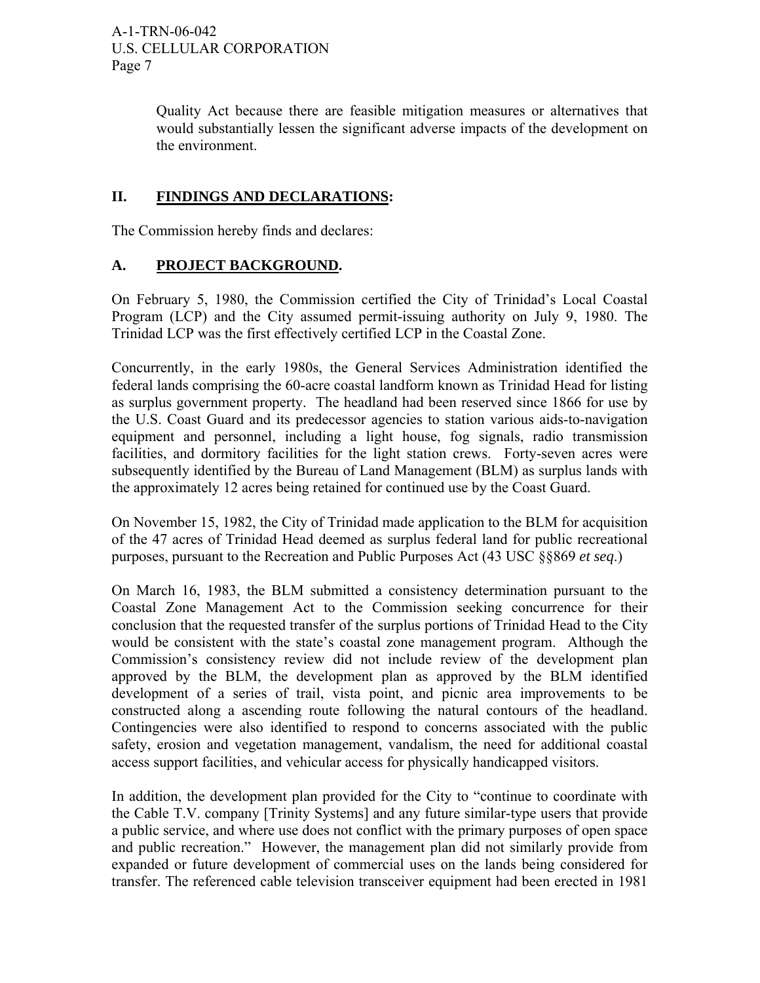Quality Act because there are feasible mitigation measures or alternatives that would substantially lessen the significant adverse impacts of the development on the environment.

# **II. FINDINGS AND DECLARATIONS:**

The Commission hereby finds and declares:

## **A. PROJECT BACKGROUND.**

On February 5, 1980, the Commission certified the City of Trinidad's Local Coastal Program (LCP) and the City assumed permit-issuing authority on July 9, 1980. The Trinidad LCP was the first effectively certified LCP in the Coastal Zone.

Concurrently, in the early 1980s, the General Services Administration identified the federal lands comprising the 60-acre coastal landform known as Trinidad Head for listing as surplus government property. The headland had been reserved since 1866 for use by the U.S. Coast Guard and its predecessor agencies to station various aids-to-navigation equipment and personnel, including a light house, fog signals, radio transmission facilities, and dormitory facilities for the light station crews. Forty-seven acres were subsequently identified by the Bureau of Land Management (BLM) as surplus lands with the approximately 12 acres being retained for continued use by the Coast Guard.

On November 15, 1982, the City of Trinidad made application to the BLM for acquisition of the 47 acres of Trinidad Head deemed as surplus federal land for public recreational purposes, pursuant to the Recreation and Public Purposes Act (43 USC §§869 *et seq*.)

On March 16, 1983, the BLM submitted a consistency determination pursuant to the Coastal Zone Management Act to the Commission seeking concurrence for their conclusion that the requested transfer of the surplus portions of Trinidad Head to the City would be consistent with the state's coastal zone management program. Although the Commission's consistency review did not include review of the development plan approved by the BLM, the development plan as approved by the BLM identified development of a series of trail, vista point, and picnic area improvements to be constructed along a ascending route following the natural contours of the headland. Contingencies were also identified to respond to concerns associated with the public safety, erosion and vegetation management, vandalism, the need for additional coastal access support facilities, and vehicular access for physically handicapped visitors.

In addition, the development plan provided for the City to "continue to coordinate with the Cable T.V. company [Trinity Systems] and any future similar-type users that provide a public service, and where use does not conflict with the primary purposes of open space and public recreation." However, the management plan did not similarly provide from expanded or future development of commercial uses on the lands being considered for transfer. The referenced cable television transceiver equipment had been erected in 1981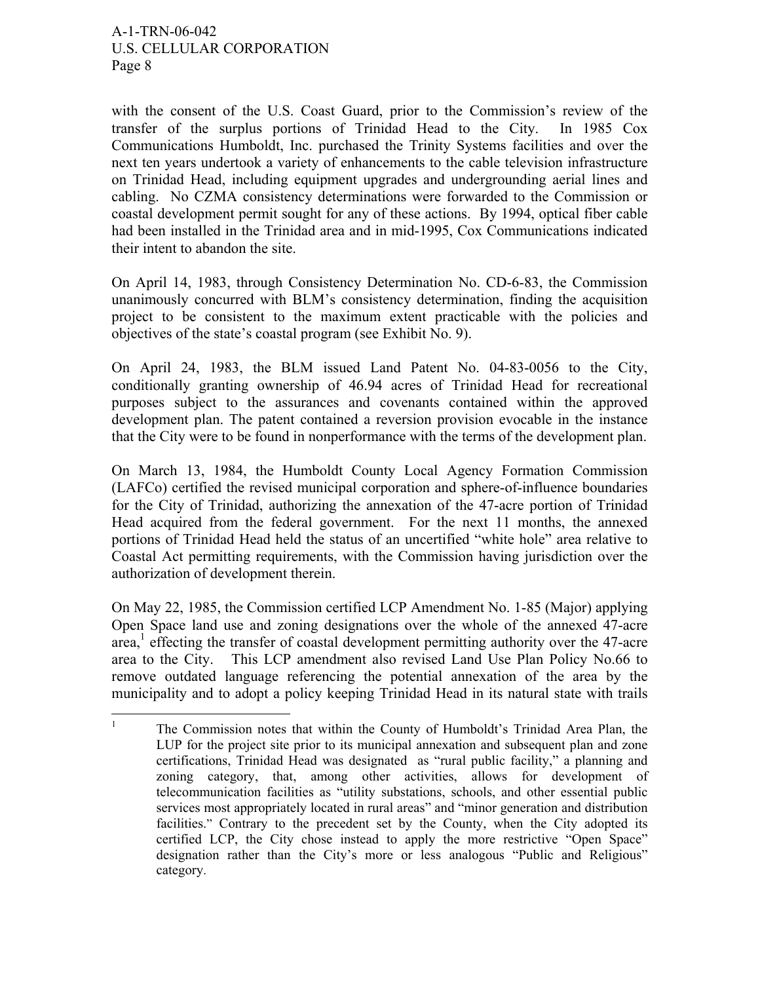with the consent of the U.S. Coast Guard, prior to the Commission's review of the transfer of the surplus portions of Trinidad Head to the City. In 1985 Cox Communications Humboldt, Inc. purchased the Trinity Systems facilities and over the next ten years undertook a variety of enhancements to the cable television infrastructure on Trinidad Head, including equipment upgrades and undergrounding aerial lines and cabling. No CZMA consistency determinations were forwarded to the Commission or coastal development permit sought for any of these actions. By 1994, optical fiber cable had been installed in the Trinidad area and in mid-1995, Cox Communications indicated their intent to abandon the site.

On April 14, 1983, through Consistency Determination No. CD-6-83, the Commission unanimously concurred with BLM's consistency determination, finding the acquisition project to be consistent to the maximum extent practicable with the policies and objectives of the state's coastal program (see Exhibit No. 9).

On April 24, 1983, the BLM issued Land Patent No. 04-83-0056 to the City, conditionally granting ownership of 46.94 acres of Trinidad Head for recreational purposes subject to the assurances and covenants contained within the approved development plan. The patent contained a reversion provision evocable in the instance that the City were to be found in nonperformance with the terms of the development plan.

On March 13, 1984, the Humboldt County Local Agency Formation Commission (LAFCo) certified the revised municipal corporation and sphere-of-influence boundaries for the City of Trinidad, authorizing the annexation of the 47-acre portion of Trinidad Head acquired from the federal government. For the next 11 months, the annexed portions of Trinidad Head held the status of an uncertified "white hole" area relative to Coastal Act permitting requirements, with the Commission having jurisdiction over the authorization of development therein.

On May 22, 1985, the Commission certified LCP Amendment No. 1-85 (Major) applying Open Space land use and zoning designations over the whole of the annexed 47-acre area,<sup>1</sup> effecting the transfer of coastal development permitting authority over the 47-acre area to the City. This LCP amendment also revised Land Use Plan Policy No.66 to remove outdated language referencing the potential annexation of the area by the municipality and to adopt a policy keeping Trinidad Head in its natural state with trails

 $\frac{1}{1}$  The Commission notes that within the County of Humboldt's Trinidad Area Plan, the LUP for the project site prior to its municipal annexation and subsequent plan and zone certifications, Trinidad Head was designated as "rural public facility," a planning and zoning category, that, among other activities, allows for development of telecommunication facilities as "utility substations, schools, and other essential public services most appropriately located in rural areas" and "minor generation and distribution facilities." Contrary to the precedent set by the County, when the City adopted its certified LCP, the City chose instead to apply the more restrictive "Open Space" designation rather than the City's more or less analogous "Public and Religious" category.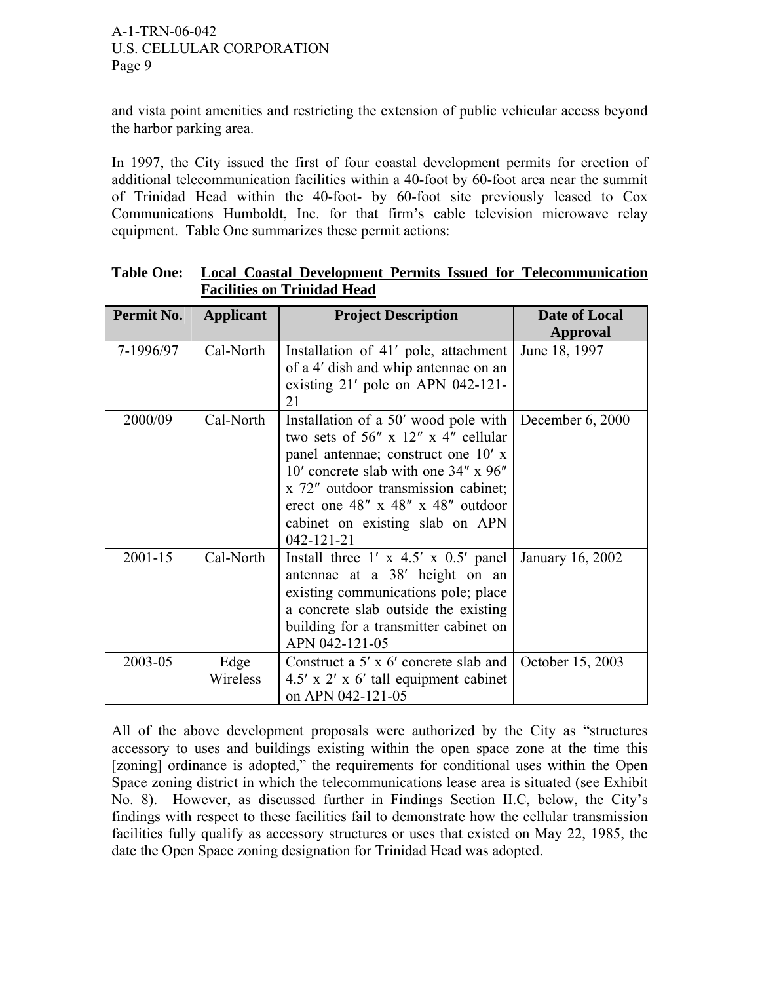and vista point amenities and restricting the extension of public vehicular access beyond the harbor parking area.

In 1997, the City issued the first of four coastal development permits for erection of additional telecommunication facilities within a 40-foot by 60-foot area near the summit of Trinidad Head within the 40-foot- by 60-foot site previously leased to Cox Communications Humboldt, Inc. for that firm's cable television microwave relay equipment. Table One summarizes these permit actions:

| Permit No.  | Applicant        | <b>Project Description</b>                                                                                                                                                                                                                                                                            | Date of Local<br><b>Approval</b> |
|-------------|------------------|-------------------------------------------------------------------------------------------------------------------------------------------------------------------------------------------------------------------------------------------------------------------------------------------------------|----------------------------------|
| 7-1996/97   | Cal-North        | Installation of 41' pole, attachment<br>of a 4' dish and whip antennae on an<br>existing 21' pole on APN 042-121-<br>21                                                                                                                                                                               | June 18, 1997                    |
| 2000/09     | Cal-North        | Installation of a 50' wood pole with<br>two sets of 56" $x$ 12" $x$ 4" cellular<br>panel antennae; construct one 10' x<br>10' concrete slab with one 34" x 96"<br>x 72" outdoor transmission cabinet;<br>erect one 48" $x$ 48" $x$ 48" outdoor<br>cabinet on existing slab on APN<br>$042 - 121 - 21$ | December $6, 2000$               |
| $2001 - 15$ | Cal-North        | Install three $1' \times 4.5' \times 0.5'$ panel<br>antennae at a 38' height on an<br>existing communications pole; place<br>a concrete slab outside the existing<br>building for a transmitter cabinet on<br>APN 042-121-05                                                                          | January 16, 2002                 |
| 2003-05     | Edge<br>Wireless | Construct a 5' x 6' concrete slab and<br>$4.5' \times 2' \times 6'$ tall equipment cabinet<br>on APN 042-121-05                                                                                                                                                                                       | October 15, 2003                 |

**Table One: Local Coastal Development Permits Issued for Telecommunication Facilities on Trinidad Head**

All of the above development proposals were authorized by the City as "structures accessory to uses and buildings existing within the open space zone at the time this [zoning] ordinance is adopted," the requirements for conditional uses within the Open Space zoning district in which the telecommunications lease area is situated (see Exhibit No. 8). However, as discussed further in Findings Section II.C, below, the City's findings with respect to these facilities fail to demonstrate how the cellular transmission facilities fully qualify as accessory structures or uses that existed on May 22, 1985, the date the Open Space zoning designation for Trinidad Head was adopted.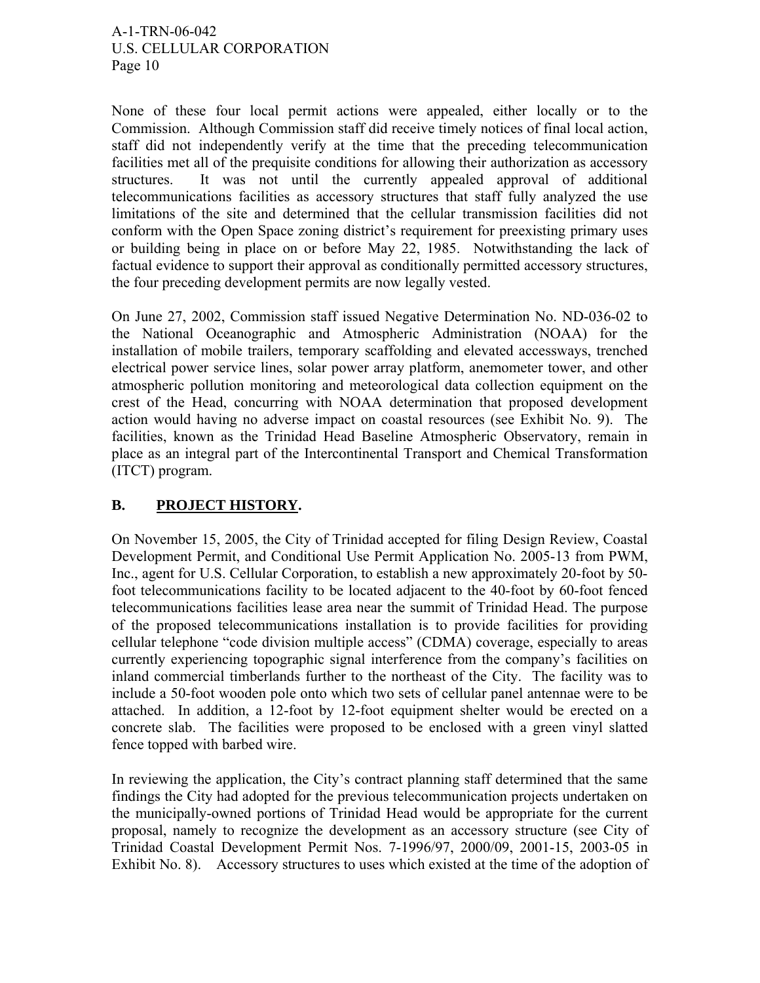None of these four local permit actions were appealed, either locally or to the Commission. Although Commission staff did receive timely notices of final local action, staff did not independently verify at the time that the preceding telecommunication facilities met all of the prequisite conditions for allowing their authorization as accessory structures. It was not until the currently appealed approval of additional telecommunications facilities as accessory structures that staff fully analyzed the use limitations of the site and determined that the cellular transmission facilities did not conform with the Open Space zoning district's requirement for preexisting primary uses or building being in place on or before May 22, 1985. Notwithstanding the lack of factual evidence to support their approval as conditionally permitted accessory structures, the four preceding development permits are now legally vested.

On June 27, 2002, Commission staff issued Negative Determination No. ND-036-02 to the National Oceanographic and Atmospheric Administration (NOAA) for the installation of mobile trailers, temporary scaffolding and elevated accessways, trenched electrical power service lines, solar power array platform, anemometer tower, and other atmospheric pollution monitoring and meteorological data collection equipment on the crest of the Head, concurring with NOAA determination that proposed development action would having no adverse impact on coastal resources (see Exhibit No. 9). The facilities, known as the Trinidad Head Baseline Atmospheric Observatory, remain in place as an integral part of the Intercontinental Transport and Chemical Transformation (ITCT) program.

# **B. PROJECT HISTORY.**

On November 15, 2005, the City of Trinidad accepted for filing Design Review, Coastal Development Permit, and Conditional Use Permit Application No. 2005-13 from PWM, Inc., agent for U.S. Cellular Corporation, to establish a new approximately 20-foot by 50 foot telecommunications facility to be located adjacent to the 40-foot by 60-foot fenced telecommunications facilities lease area near the summit of Trinidad Head. The purpose of the proposed telecommunications installation is to provide facilities for providing cellular telephone "code division multiple access" (CDMA) coverage, especially to areas currently experiencing topographic signal interference from the company's facilities on inland commercial timberlands further to the northeast of the City. The facility was to include a 50-foot wooden pole onto which two sets of cellular panel antennae were to be attached. In addition, a 12-foot by 12-foot equipment shelter would be erected on a concrete slab. The facilities were proposed to be enclosed with a green vinyl slatted fence topped with barbed wire.

In reviewing the application, the City's contract planning staff determined that the same findings the City had adopted for the previous telecommunication projects undertaken on the municipally-owned portions of Trinidad Head would be appropriate for the current proposal, namely to recognize the development as an accessory structure (see City of Trinidad Coastal Development Permit Nos. 7-1996/97, 2000/09, 2001-15, 2003-05 in Exhibit No. 8). Accessory structures to uses which existed at the time of the adoption of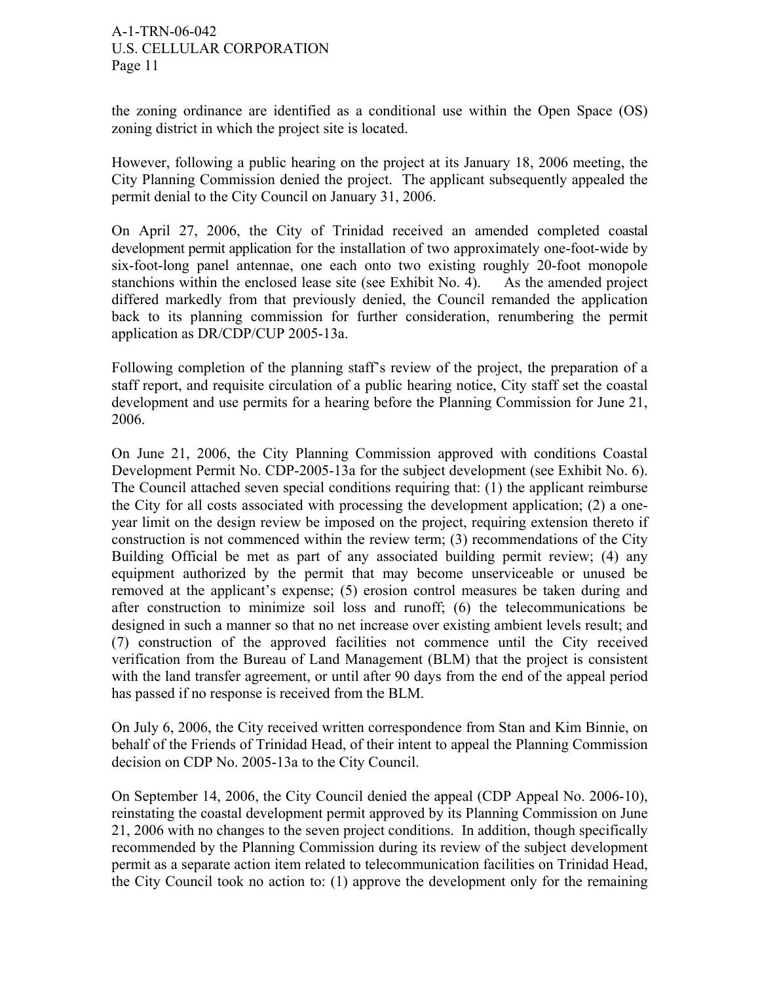the zoning ordinance are identified as a conditional use within the Open Space (OS) zoning district in which the project site is located.

However, following a public hearing on the project at its January 18, 2006 meeting, the City Planning Commission denied the project. The applicant subsequently appealed the permit denial to the City Council on January 31, 2006.

On April 27, 2006, the City of Trinidad received an amended completed coastal development permit application for the installation of two approximately one-foot-wide by six-foot-long panel antennae, one each onto two existing roughly 20-foot monopole stanchions within the enclosed lease site (see Exhibit No. 4). As the amended project differed markedly from that previously denied, the Council remanded the application back to its planning commission for further consideration, renumbering the permit application as DR/CDP/CUP 2005-13a.

Following completion of the planning staff's review of the project, the preparation of a staff report, and requisite circulation of a public hearing notice, City staff set the coastal development and use permits for a hearing before the Planning Commission for June 21, 2006.

On June 21, 2006, the City Planning Commission approved with conditions Coastal Development Permit No. CDP-2005-13a for the subject development (see Exhibit No. 6). The Council attached seven special conditions requiring that: (1) the applicant reimburse the City for all costs associated with processing the development application; (2) a oneyear limit on the design review be imposed on the project, requiring extension thereto if construction is not commenced within the review term; (3) recommendations of the City Building Official be met as part of any associated building permit review; (4) any equipment authorized by the permit that may become unserviceable or unused be removed at the applicant's expense; (5) erosion control measures be taken during and after construction to minimize soil loss and runoff; (6) the telecommunications be designed in such a manner so that no net increase over existing ambient levels result; and (7) construction of the approved facilities not commence until the City received verification from the Bureau of Land Management (BLM) that the project is consistent with the land transfer agreement, or until after 90 days from the end of the appeal period has passed if no response is received from the BLM.

On July 6, 2006, the City received written correspondence from Stan and Kim Binnie, on behalf of the Friends of Trinidad Head, of their intent to appeal the Planning Commission decision on CDP No. 2005-13a to the City Council.

On September 14, 2006, the City Council denied the appeal (CDP Appeal No. 2006-10), reinstating the coastal development permit approved by its Planning Commission on June 21, 2006 with no changes to the seven project conditions. In addition, though specifically recommended by the Planning Commission during its review of the subject development permit as a separate action item related to telecommunication facilities on Trinidad Head, the City Council took no action to: (1) approve the development only for the remaining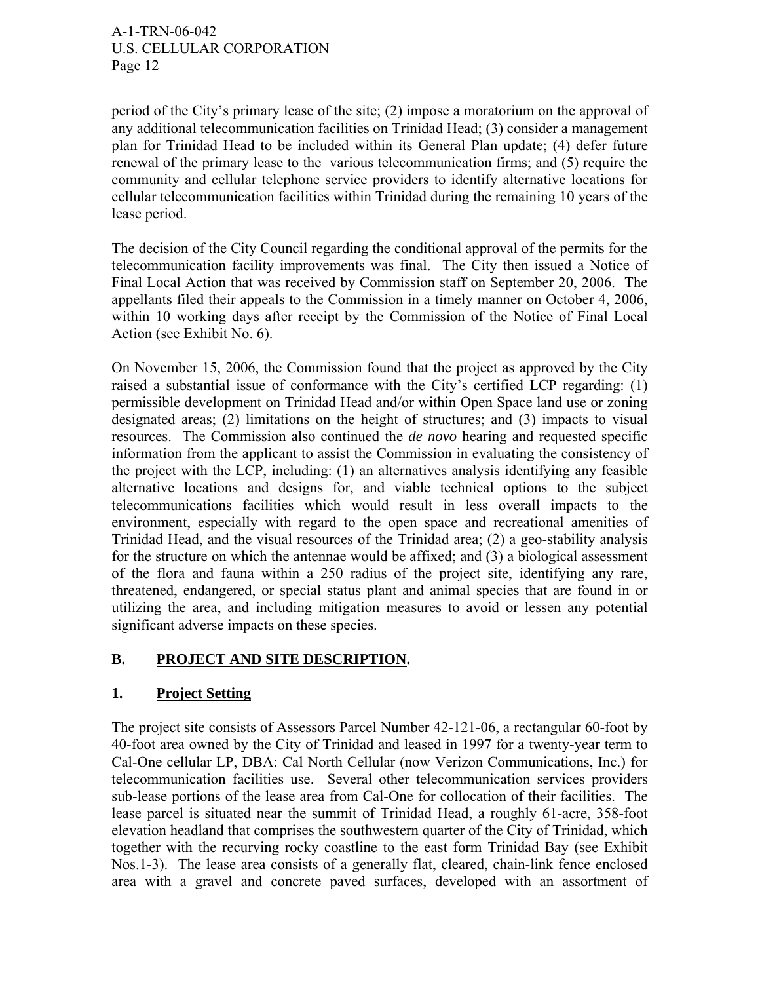period of the City's primary lease of the site; (2) impose a moratorium on the approval of any additional telecommunication facilities on Trinidad Head; (3) consider a management plan for Trinidad Head to be included within its General Plan update; (4) defer future renewal of the primary lease to the various telecommunication firms; and (5) require the community and cellular telephone service providers to identify alternative locations for cellular telecommunication facilities within Trinidad during the remaining 10 years of the lease period.

The decision of the City Council regarding the conditional approval of the permits for the telecommunication facility improvements was final. The City then issued a Notice of Final Local Action that was received by Commission staff on September 20, 2006. The appellants filed their appeals to the Commission in a timely manner on October 4, 2006, within 10 working days after receipt by the Commission of the Notice of Final Local Action (see Exhibit No. 6).

On November 15, 2006, the Commission found that the project as approved by the City raised a substantial issue of conformance with the City's certified LCP regarding: (1) permissible development on Trinidad Head and/or within Open Space land use or zoning designated areas; (2) limitations on the height of structures; and (3) impacts to visual resources. The Commission also continued the *de novo* hearing and requested specific information from the applicant to assist the Commission in evaluating the consistency of the project with the LCP, including: (1) an alternatives analysis identifying any feasible alternative locations and designs for, and viable technical options to the subject telecommunications facilities which would result in less overall impacts to the environment, especially with regard to the open space and recreational amenities of Trinidad Head, and the visual resources of the Trinidad area; (2) a geo-stability analysis for the structure on which the antennae would be affixed; and (3) a biological assessment of the flora and fauna within a 250 radius of the project site, identifying any rare, threatened, endangered, or special status plant and animal species that are found in or utilizing the area, and including mitigation measures to avoid or lessen any potential significant adverse impacts on these species.

## **B. PROJECT AND SITE DESCRIPTION.**

## **1. Project Setting**

The project site consists of Assessors Parcel Number 42-121-06, a rectangular 60-foot by 40-foot area owned by the City of Trinidad and leased in 1997 for a twenty-year term to Cal-One cellular LP, DBA: Cal North Cellular (now Verizon Communications, Inc.) for telecommunication facilities use. Several other telecommunication services providers sub-lease portions of the lease area from Cal-One for collocation of their facilities. The lease parcel is situated near the summit of Trinidad Head, a roughly 61-acre, 358-foot elevation headland that comprises the southwestern quarter of the City of Trinidad, which together with the recurving rocky coastline to the east form Trinidad Bay (see Exhibit Nos.1-3). The lease area consists of a generally flat, cleared, chain-link fence enclosed area with a gravel and concrete paved surfaces, developed with an assortment of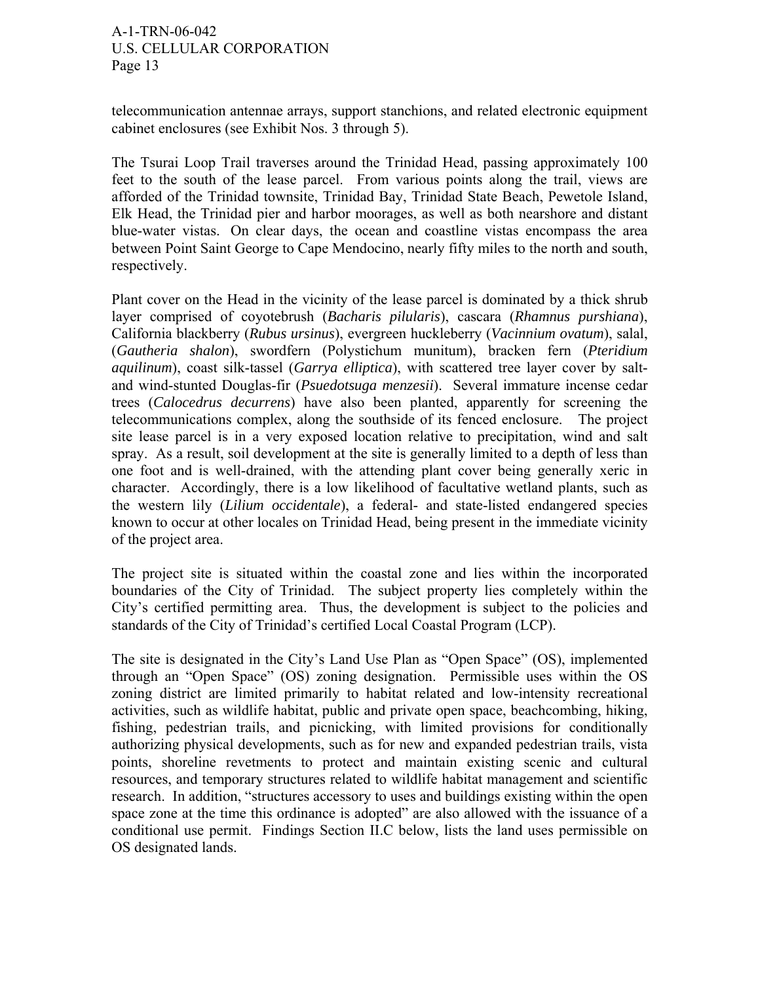telecommunication antennae arrays, support stanchions, and related electronic equipment cabinet enclosures (see Exhibit Nos. 3 through 5).

The Tsurai Loop Trail traverses around the Trinidad Head, passing approximately 100 feet to the south of the lease parcel. From various points along the trail, views are afforded of the Trinidad townsite, Trinidad Bay, Trinidad State Beach, Pewetole Island, Elk Head, the Trinidad pier and harbor moorages, as well as both nearshore and distant blue-water vistas. On clear days, the ocean and coastline vistas encompass the area between Point Saint George to Cape Mendocino, nearly fifty miles to the north and south, respectively.

Plant cover on the Head in the vicinity of the lease parcel is dominated by a thick shrub layer comprised of coyotebrush (*Bacharis pilularis*), cascara (*Rhamnus purshiana*), California blackberry (*Rubus ursinus*), evergreen huckleberry (*Vacinnium ovatum*), salal, (*Gautheria shalon*), swordfern (Polystichum munitum), bracken fern (*Pteridium aquilinum*), coast silk-tassel (*Garrya elliptica*), with scattered tree layer cover by saltand wind-stunted Douglas-fir (*Psuedotsuga menzesii*). Several immature incense cedar trees (*Calocedrus decurrens*) have also been planted, apparently for screening the telecommunications complex, along the southside of its fenced enclosure. The project site lease parcel is in a very exposed location relative to precipitation, wind and salt spray. As a result, soil development at the site is generally limited to a depth of less than one foot and is well-drained, with the attending plant cover being generally xeric in character. Accordingly, there is a low likelihood of facultative wetland plants, such as the western lily (*Lilium occidentale*), a federal- and state-listed endangered species known to occur at other locales on Trinidad Head, being present in the immediate vicinity of the project area.

The project site is situated within the coastal zone and lies within the incorporated boundaries of the City of Trinidad. The subject property lies completely within the City's certified permitting area. Thus, the development is subject to the policies and standards of the City of Trinidad's certified Local Coastal Program (LCP).

The site is designated in the City's Land Use Plan as "Open Space" (OS), implemented through an "Open Space" (OS) zoning designation. Permissible uses within the OS zoning district are limited primarily to habitat related and low-intensity recreational activities, such as wildlife habitat, public and private open space, beachcombing, hiking, fishing, pedestrian trails, and picnicking, with limited provisions for conditionally authorizing physical developments, such as for new and expanded pedestrian trails, vista points, shoreline revetments to protect and maintain existing scenic and cultural resources, and temporary structures related to wildlife habitat management and scientific research. In addition, "structures accessory to uses and buildings existing within the open space zone at the time this ordinance is adopted" are also allowed with the issuance of a conditional use permit. Findings Section II.C below, lists the land uses permissible on OS designated lands.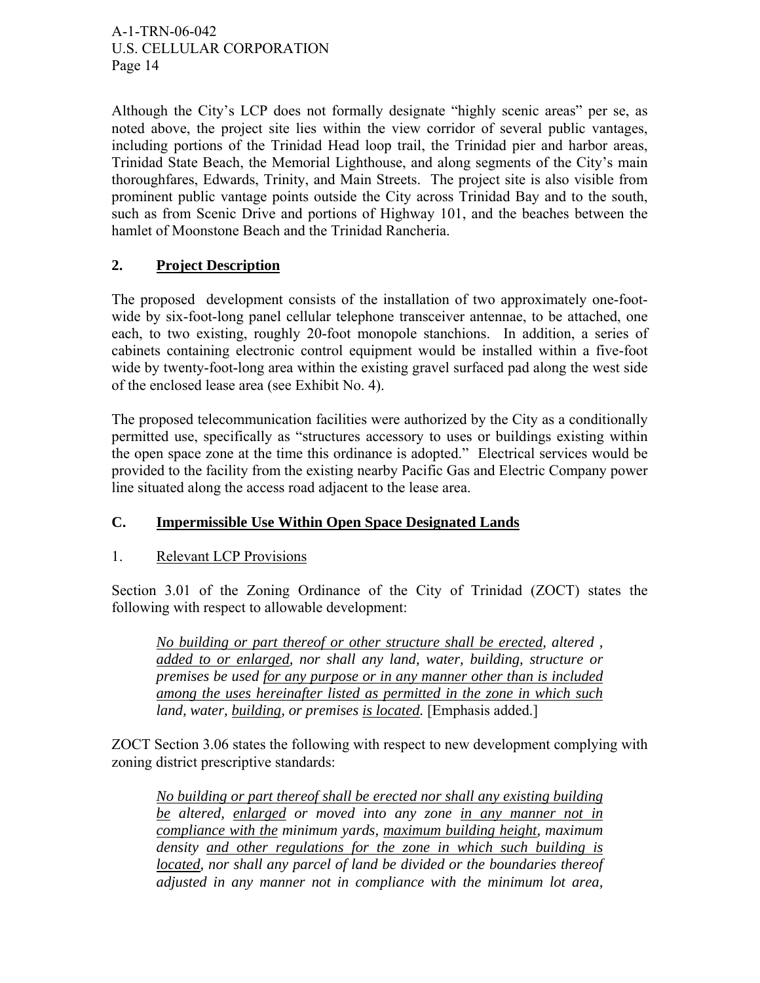Although the City's LCP does not formally designate "highly scenic areas" per se, as noted above, the project site lies within the view corridor of several public vantages, including portions of the Trinidad Head loop trail, the Trinidad pier and harbor areas, Trinidad State Beach, the Memorial Lighthouse, and along segments of the City's main thoroughfares, Edwards, Trinity, and Main Streets. The project site is also visible from prominent public vantage points outside the City across Trinidad Bay and to the south, such as from Scenic Drive and portions of Highway 101, and the beaches between the hamlet of Moonstone Beach and the Trinidad Rancheria.

# **2. Project Description**

The proposed development consists of the installation of two approximately one-footwide by six-foot-long panel cellular telephone transceiver antennae, to be attached, one each, to two existing, roughly 20-foot monopole stanchions. In addition, a series of cabinets containing electronic control equipment would be installed within a five-foot wide by twenty-foot-long area within the existing gravel surfaced pad along the west side of the enclosed lease area (see Exhibit No. 4).

The proposed telecommunication facilities were authorized by the City as a conditionally permitted use, specifically as "structures accessory to uses or buildings existing within the open space zone at the time this ordinance is adopted." Electrical services would be provided to the facility from the existing nearby Pacific Gas and Electric Company power line situated along the access road adjacent to the lease area.

## **C. Impermissible Use Within Open Space Designated Lands**

## 1. Relevant LCP Provisions

Section 3.01 of the Zoning Ordinance of the City of Trinidad (ZOCT) states the following with respect to allowable development:

*No building or part thereof or other structure shall be erected, altered , added to or enlarged, nor shall any land, water, building, structure or premises be used for any purpose or in any manner other than is included among the uses hereinafter listed as permitted in the zone in which such land, water, building, or premises is located.* [Emphasis added.]

ZOCT Section 3.06 states the following with respect to new development complying with zoning district prescriptive standards:

*No building or part thereof shall be erected nor shall any existing building be altered, enlarged or moved into any zone in any manner not in compliance with the minimum yards, maximum building height, maximum density and other regulations for the zone in which such building is*  located, nor shall any parcel of land be divided or the boundaries thereof *adjusted in any manner not in compliance with the minimum lot area,*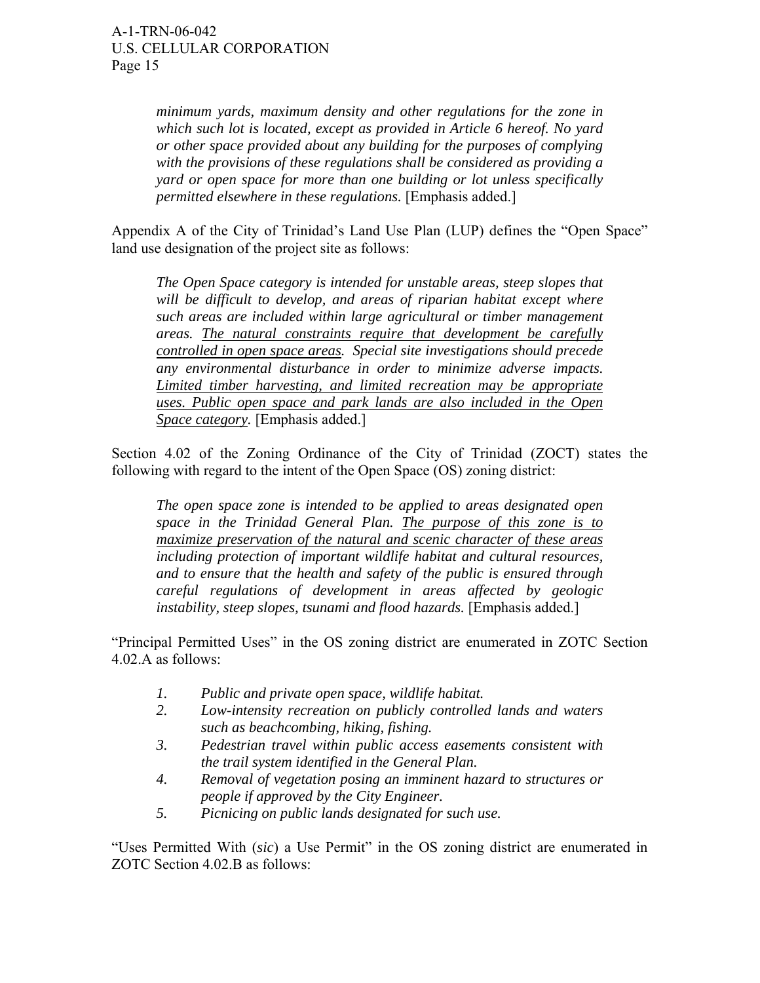*minimum yards, maximum density and other regulations for the zone in which such lot is located, except as provided in Article 6 hereof. No yard or other space provided about any building for the purposes of complying with the provisions of these regulations shall be considered as providing a yard or open space for more than one building or lot unless specifically permitted elsewhere in these regulations.* [Emphasis added.]

Appendix A of the City of Trinidad's Land Use Plan (LUP) defines the "Open Space" land use designation of the project site as follows:

*The Open Space category is intended for unstable areas, steep slopes that will be difficult to develop, and areas of riparian habitat except where such areas are included within large agricultural or timber management areas. The natural constraints require that development be carefully controlled in open space areas. Special site investigations should precede any environmental disturbance in order to minimize adverse impacts. Limited timber harvesting, and limited recreation may be appropriate uses. Public open space and park lands are also included in the Open Space category.* [Emphasis added.]

Section 4.02 of the Zoning Ordinance of the City of Trinidad (ZOCT) states the following with regard to the intent of the Open Space (OS) zoning district:

*The open space zone is intended to be applied to areas designated open space in the Trinidad General Plan. The purpose of this zone is to maximize preservation of the natural and scenic character of these areas including protection of important wildlife habitat and cultural resources, and to ensure that the health and safety of the public is ensured through careful regulations of development in areas affected by geologic instability, steep slopes, tsunami and flood hazards.* [Emphasis added.]

"Principal Permitted Uses" in the OS zoning district are enumerated in ZOTC Section 4.02.A as follows:

- *1. Public and private open space, wildlife habitat.*
- *2. Low-intensity recreation on publicly controlled lands and waters such as beachcombing, hiking, fishing.*
- *3. Pedestrian travel within public access easements consistent with the trail system identified in the General Plan.*
- *4. Removal of vegetation posing an imminent hazard to structures or people if approved by the City Engineer.*
- *5. Picnicing on public lands designated for such use.*

"Uses Permitted With (*sic*) a Use Permit" in the OS zoning district are enumerated in ZOTC Section 4.02.B as follows: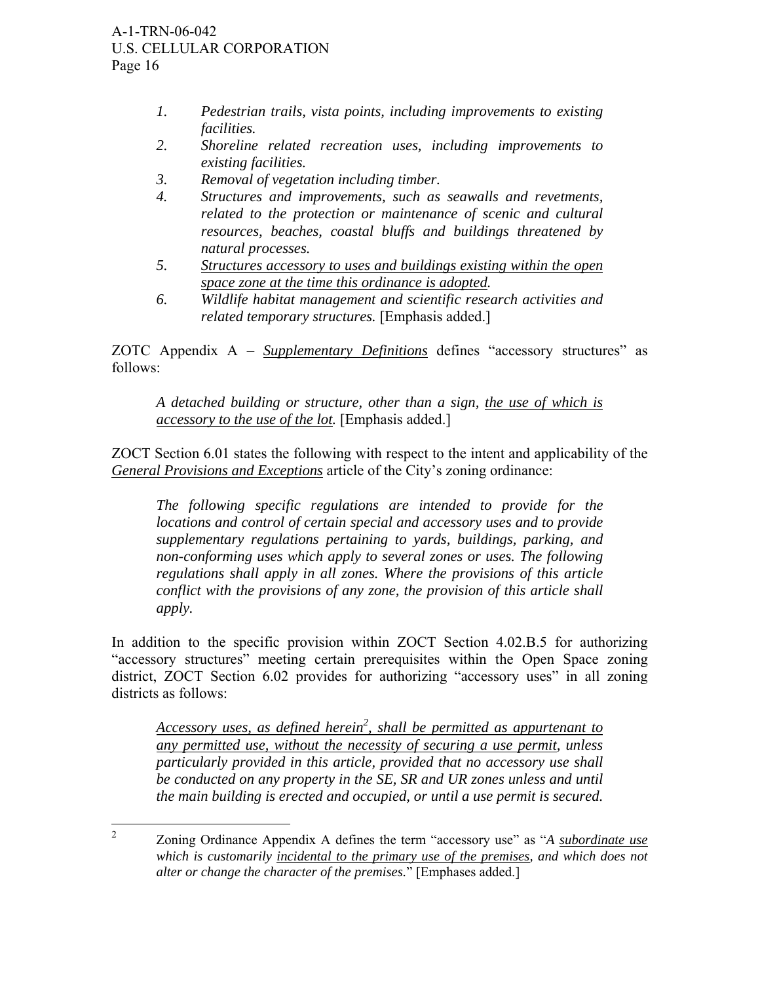- *1. Pedestrian trails, vista points, including improvements to existing facilities.*
- *2. Shoreline related recreation uses, including improvements to existing facilities.*
- *3. Removal of vegetation including timber.*
- *4. Structures and improvements, such as seawalls and revetments, related to the protection or maintenance of scenic and cultural resources, beaches, coastal bluffs and buildings threatened by natural processes.*
- *5. Structures accessory to uses and buildings existing within the open space zone at the time this ordinance is adopted.*
- *6. Wildlife habitat management and scientific research activities and related temporary structures.* [Emphasis added.]

ZOTC Appendix A – *Supplementary Definitions* defines "accessory structures" as follows:

*A detached building or structure, other than a sign, the use of which is accessory to the use of the lot.* [Emphasis added.]

ZOCT Section 6.01 states the following with respect to the intent and applicability of the *General Provisions and Exceptions* article of the City's zoning ordinance:

*The following specific regulations are intended to provide for the locations and control of certain special and accessory uses and to provide supplementary regulations pertaining to yards, buildings, parking, and non-conforming uses which apply to several zones or uses. The following regulations shall apply in all zones. Where the provisions of this article conflict with the provisions of any zone, the provision of this article shall apply.* 

In addition to the specific provision within ZOCT Section 4.02.B.5 for authorizing "accessory structures" meeting certain prerequisites within the Open Space zoning district, ZOCT Section 6.02 provides for authorizing "accessory uses" in all zoning districts as follows:

Accessory uses, as defined herein<sup>2</sup>, shall be permitted as appurtenant to *any permitted use, without the necessity of securing a use permit, unless particularly provided in this article, provided that no accessory use shall be conducted on any property in the SE, SR and UR zones unless and until the main building is erected and occupied, or until a use permit is secured.* 

 $\frac{1}{2}$  Zoning Ordinance Appendix A defines the term "accessory use" as "*A subordinate use which is customarily incidental to the primary use of the premises, and which does not alter or change the character of the premises.*" [Emphases added.]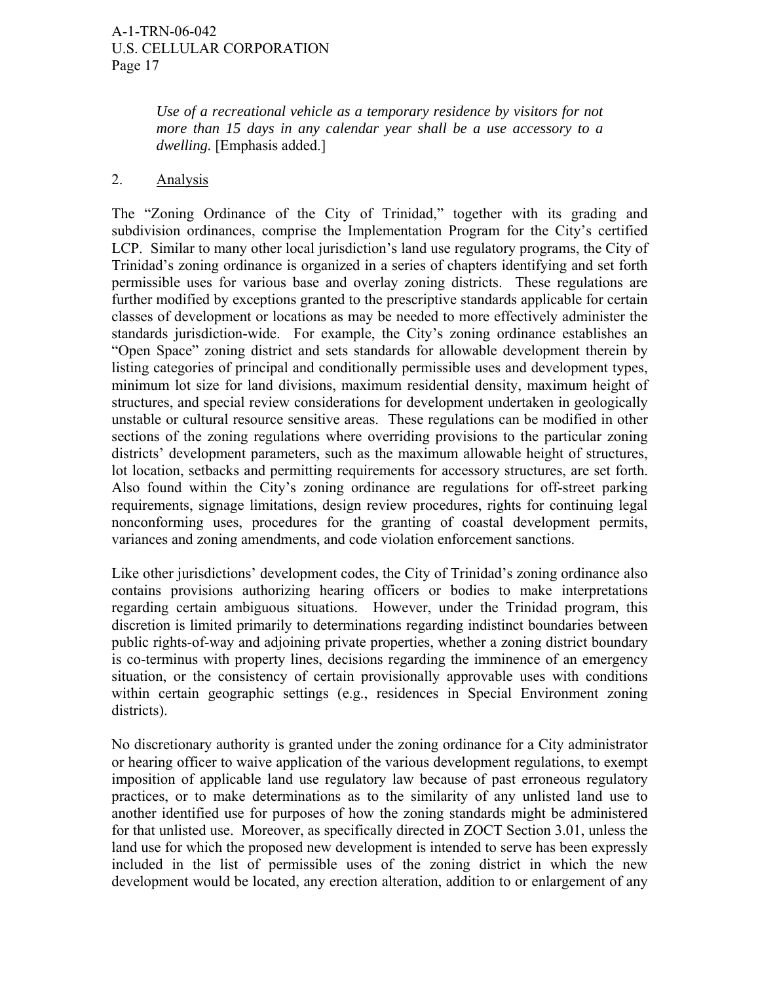*Use of a recreational vehicle as a temporary residence by visitors for not more than 15 days in any calendar year shall be a use accessory to a dwelling.* [Emphasis added.]

#### 2. Analysis

The "Zoning Ordinance of the City of Trinidad," together with its grading and subdivision ordinances, comprise the Implementation Program for the City's certified LCP. Similar to many other local jurisdiction's land use regulatory programs, the City of Trinidad's zoning ordinance is organized in a series of chapters identifying and set forth permissible uses for various base and overlay zoning districts. These regulations are further modified by exceptions granted to the prescriptive standards applicable for certain classes of development or locations as may be needed to more effectively administer the standards jurisdiction-wide. For example, the City's zoning ordinance establishes an "Open Space" zoning district and sets standards for allowable development therein by listing categories of principal and conditionally permissible uses and development types, minimum lot size for land divisions, maximum residential density, maximum height of structures, and special review considerations for development undertaken in geologically unstable or cultural resource sensitive areas. These regulations can be modified in other sections of the zoning regulations where overriding provisions to the particular zoning districts' development parameters, such as the maximum allowable height of structures, lot location, setbacks and permitting requirements for accessory structures, are set forth. Also found within the City's zoning ordinance are regulations for off-street parking requirements, signage limitations, design review procedures, rights for continuing legal nonconforming uses, procedures for the granting of coastal development permits, variances and zoning amendments, and code violation enforcement sanctions.

Like other jurisdictions' development codes, the City of Trinidad's zoning ordinance also contains provisions authorizing hearing officers or bodies to make interpretations regarding certain ambiguous situations. However, under the Trinidad program, this discretion is limited primarily to determinations regarding indistinct boundaries between public rights-of-way and adjoining private properties, whether a zoning district boundary is co-terminus with property lines, decisions regarding the imminence of an emergency situation, or the consistency of certain provisionally approvable uses with conditions within certain geographic settings (e.g., residences in Special Environment zoning districts).

No discretionary authority is granted under the zoning ordinance for a City administrator or hearing officer to waive application of the various development regulations, to exempt imposition of applicable land use regulatory law because of past erroneous regulatory practices, or to make determinations as to the similarity of any unlisted land use to another identified use for purposes of how the zoning standards might be administered for that unlisted use. Moreover, as specifically directed in ZOCT Section 3.01, unless the land use for which the proposed new development is intended to serve has been expressly included in the list of permissible uses of the zoning district in which the new development would be located, any erection alteration, addition to or enlargement of any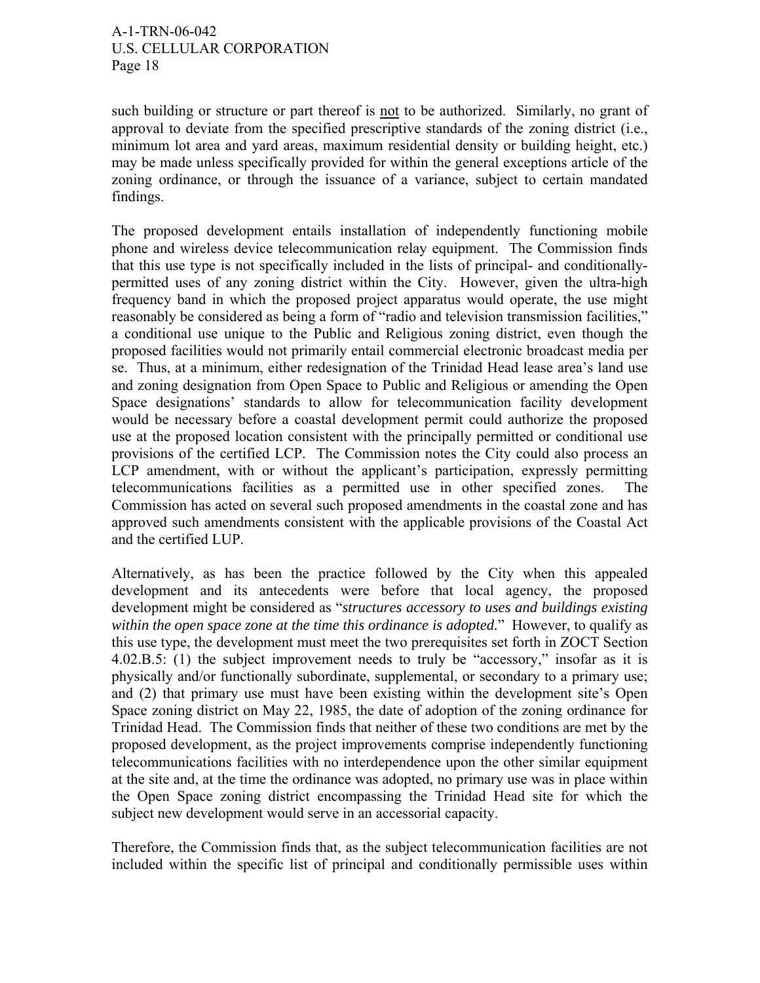such building or structure or part thereof is not to be authorized. Similarly, no grant of approval to deviate from the specified prescriptive standards of the zoning district (i.e., minimum lot area and yard areas, maximum residential density or building height, etc.) may be made unless specifically provided for within the general exceptions article of the zoning ordinance, or through the issuance of a variance, subject to certain mandated findings.

The proposed development entails installation of independently functioning mobile phone and wireless device telecommunication relay equipment. The Commission finds that this use type is not specifically included in the lists of principal- and conditionallypermitted uses of any zoning district within the City. However, given the ultra-high frequency band in which the proposed project apparatus would operate, the use might reasonably be considered as being a form of "radio and television transmission facilities," a conditional use unique to the Public and Religious zoning district, even though the proposed facilities would not primarily entail commercial electronic broadcast media per se. Thus, at a minimum, either redesignation of the Trinidad Head lease area's land use and zoning designation from Open Space to Public and Religious or amending the Open Space designations' standards to allow for telecommunication facility development would be necessary before a coastal development permit could authorize the proposed use at the proposed location consistent with the principally permitted or conditional use provisions of the certified LCP. The Commission notes the City could also process an LCP amendment, with or without the applicant's participation, expressly permitting telecommunications facilities as a permitted use in other specified zones. The Commission has acted on several such proposed amendments in the coastal zone and has approved such amendments consistent with the applicable provisions of the Coastal Act and the certified LUP.

Alternatively, as has been the practice followed by the City when this appealed development and its antecedents were before that local agency, the proposed development might be considered as "*structures accessory to uses and buildings existing within the open space zone at the time this ordinance is adopted.*" However, to qualify as this use type, the development must meet the two prerequisites set forth in ZOCT Section 4.02.B.5: (1) the subject improvement needs to truly be "accessory," insofar as it is physically and/or functionally subordinate, supplemental, or secondary to a primary use; and (2) that primary use must have been existing within the development site's Open Space zoning district on May 22, 1985, the date of adoption of the zoning ordinance for Trinidad Head. The Commission finds that neither of these two conditions are met by the proposed development, as the project improvements comprise independently functioning telecommunications facilities with no interdependence upon the other similar equipment at the site and, at the time the ordinance was adopted, no primary use was in place within the Open Space zoning district encompassing the Trinidad Head site for which the subject new development would serve in an accessorial capacity.

Therefore, the Commission finds that, as the subject telecommunication facilities are not included within the specific list of principal and conditionally permissible uses within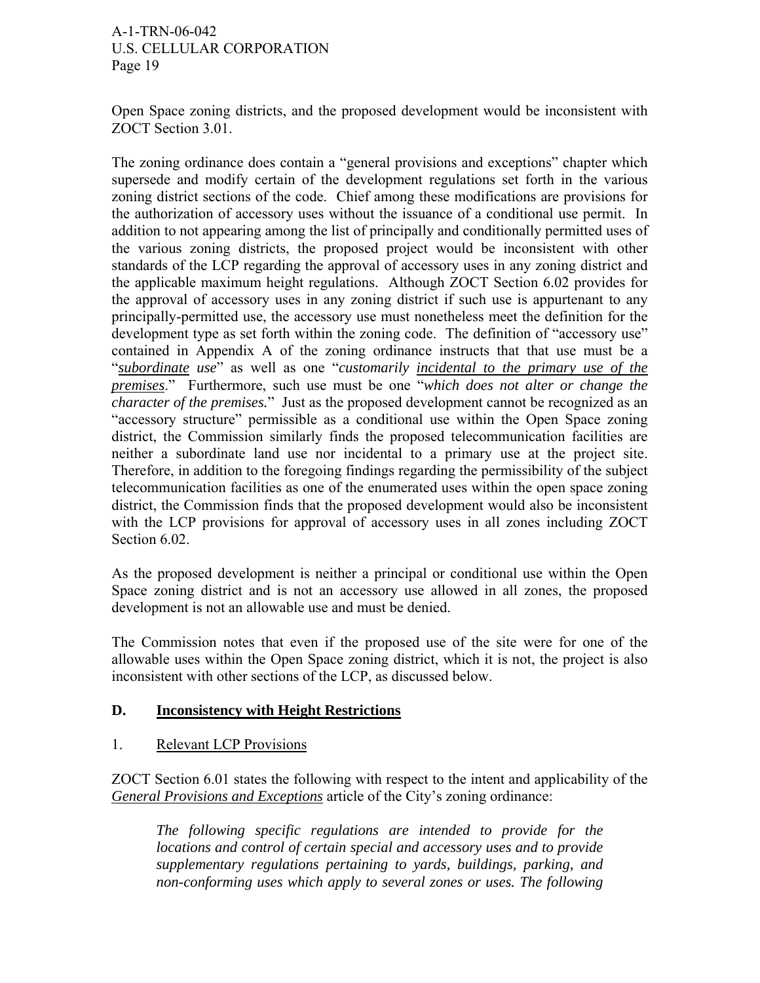Open Space zoning districts, and the proposed development would be inconsistent with ZOCT Section 3.01.

The zoning ordinance does contain a "general provisions and exceptions" chapter which supersede and modify certain of the development regulations set forth in the various zoning district sections of the code. Chief among these modifications are provisions for the authorization of accessory uses without the issuance of a conditional use permit. In addition to not appearing among the list of principally and conditionally permitted uses of the various zoning districts, the proposed project would be inconsistent with other standards of the LCP regarding the approval of accessory uses in any zoning district and the applicable maximum height regulations. Although ZOCT Section 6.02 provides for the approval of accessory uses in any zoning district if such use is appurtenant to any principally-permitted use, the accessory use must nonetheless meet the definition for the development type as set forth within the zoning code. The definition of "accessory use" contained in Appendix A of the zoning ordinance instructs that that use must be a "*subordinate use*" as well as one "*customarily incidental to the primary use of the premises*." Furthermore, such use must be one "*which does not alter or change the character of the premises.*" Just as the proposed development cannot be recognized as an "accessory structure" permissible as a conditional use within the Open Space zoning district, the Commission similarly finds the proposed telecommunication facilities are neither a subordinate land use nor incidental to a primary use at the project site. Therefore, in addition to the foregoing findings regarding the permissibility of the subject telecommunication facilities as one of the enumerated uses within the open space zoning district, the Commission finds that the proposed development would also be inconsistent with the LCP provisions for approval of accessory uses in all zones including ZOCT Section 6.02.

As the proposed development is neither a principal or conditional use within the Open Space zoning district and is not an accessory use allowed in all zones, the proposed development is not an allowable use and must be denied.

The Commission notes that even if the proposed use of the site were for one of the allowable uses within the Open Space zoning district, which it is not, the project is also inconsistent with other sections of the LCP, as discussed below.

## **D. Inconsistency with Height Restrictions**

## 1. Relevant LCP Provisions

ZOCT Section 6.01 states the following with respect to the intent and applicability of the *General Provisions and Exceptions* article of the City's zoning ordinance:

*The following specific regulations are intended to provide for the locations and control of certain special and accessory uses and to provide supplementary regulations pertaining to yards, buildings, parking, and non-conforming uses which apply to several zones or uses. The following*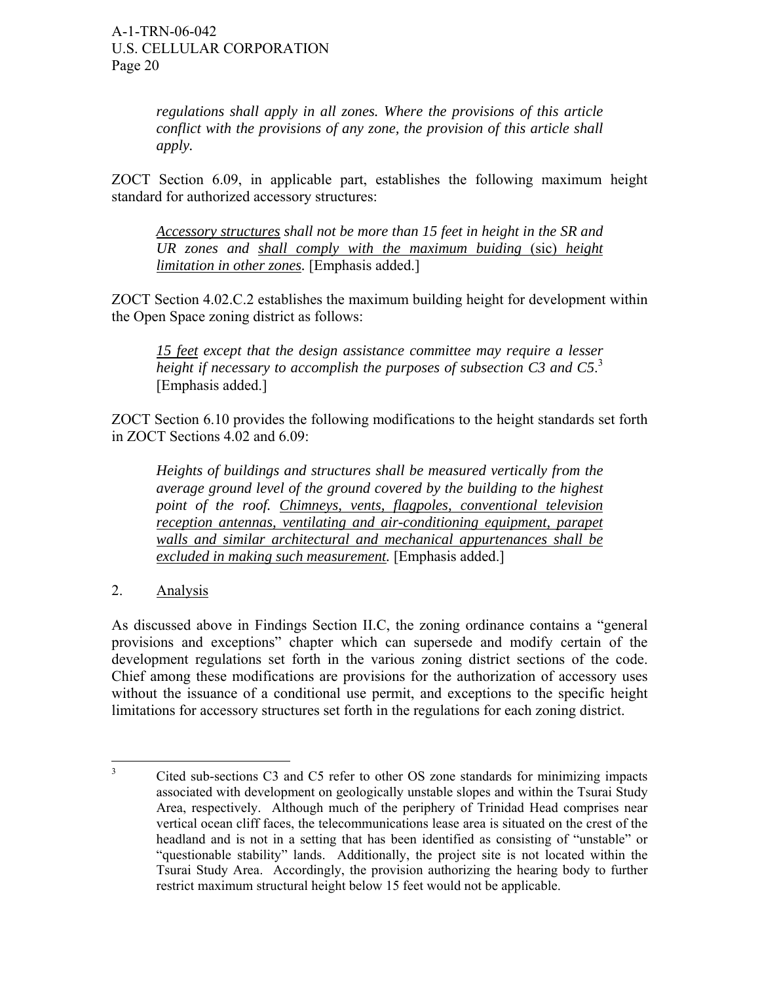*regulations shall apply in all zones. Where the provisions of this article conflict with the provisions of any zone, the provision of this article shall apply.* 

ZOCT Section 6.09, in applicable part, establishes the following maximum height standard for authorized accessory structures:

*Accessory structures shall not be more than 15 feet in height in the SR and UR zones and shall comply with the maximum buiding* (sic) *height limitation in other zones.* [Emphasis added.]

ZOCT Section 4.02.C.2 establishes the maximum building height for development within the Open Space zoning district as follows:

*15 feet except that the design assistance committee may require a lesser height if necessary to accomplish the purposes of subsection C3 and C5*. 3 [Emphasis added.]

ZOCT Section 6.10 provides the following modifications to the height standards set forth in ZOCT Sections 4.02 and 6.09:

*Heights of buildings and structures shall be measured vertically from the average ground level of the ground covered by the building to the highest point of the roof. Chimneys, vents, flagpoles, conventional television reception antennas, ventilating and air-conditioning equipment, parapet walls and similar architectural and mechanical appurtenances shall be excluded in making such measurement.* [Emphasis added.]

2. Analysis

As discussed above in Findings Section II.C, the zoning ordinance contains a "general provisions and exceptions" chapter which can supersede and modify certain of the development regulations set forth in the various zoning district sections of the code. Chief among these modifications are provisions for the authorization of accessory uses without the issuance of a conditional use permit, and exceptions to the specific height limitations for accessory structures set forth in the regulations for each zoning district.

 $\frac{1}{3}$  Cited sub-sections C3 and C5 refer to other OS zone standards for minimizing impacts associated with development on geologically unstable slopes and within the Tsurai Study Area, respectively. Although much of the periphery of Trinidad Head comprises near vertical ocean cliff faces, the telecommunications lease area is situated on the crest of the headland and is not in a setting that has been identified as consisting of "unstable" or "questionable stability" lands. Additionally, the project site is not located within the Tsurai Study Area. Accordingly, the provision authorizing the hearing body to further restrict maximum structural height below 15 feet would not be applicable.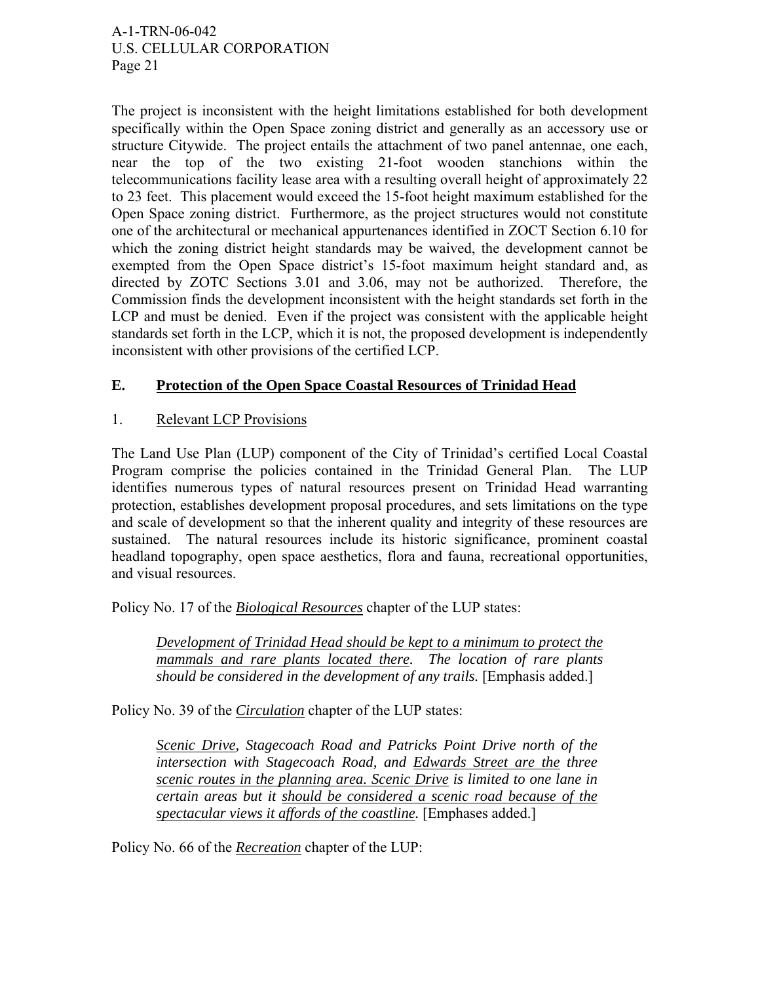The project is inconsistent with the height limitations established for both development specifically within the Open Space zoning district and generally as an accessory use or structure Citywide. The project entails the attachment of two panel antennae, one each, near the top of the two existing 21-foot wooden stanchions within the telecommunications facility lease area with a resulting overall height of approximately 22 to 23 feet. This placement would exceed the 15-foot height maximum established for the Open Space zoning district. Furthermore, as the project structures would not constitute one of the architectural or mechanical appurtenances identified in ZOCT Section 6.10 for which the zoning district height standards may be waived, the development cannot be exempted from the Open Space district's 15-foot maximum height standard and, as directed by ZOTC Sections 3.01 and 3.06, may not be authorized. Therefore, the Commission finds the development inconsistent with the height standards set forth in the LCP and must be denied. Even if the project was consistent with the applicable height standards set forth in the LCP, which it is not, the proposed development is independently inconsistent with other provisions of the certified LCP.

# **E. Protection of the Open Space Coastal Resources of Trinidad Head**

## 1. Relevant LCP Provisions

The Land Use Plan (LUP) component of the City of Trinidad's certified Local Coastal Program comprise the policies contained in the Trinidad General Plan. The LUP identifies numerous types of natural resources present on Trinidad Head warranting protection, establishes development proposal procedures, and sets limitations on the type and scale of development so that the inherent quality and integrity of these resources are sustained. The natural resources include its historic significance, prominent coastal headland topography, open space aesthetics, flora and fauna, recreational opportunities, and visual resources.

Policy No. 17 of the *Biological Resources* chapter of the LUP states:

*Development of Trinidad Head should be kept to a minimum to protect the mammals and rare plants located there. The location of rare plants should be considered in the development of any trails.* [Emphasis added.]

Policy No. 39 of the *Circulation* chapter of the LUP states:

*Scenic Drive, Stagecoach Road and Patricks Point Drive north of the intersection with Stagecoach Road, and Edwards Street are the three scenic routes in the planning area. Scenic Drive is limited to one lane in certain areas but it should be considered a scenic road because of the spectacular views it affords of the coastline.* [Emphases added.]

Policy No. 66 of the *Recreation* chapter of the LUP: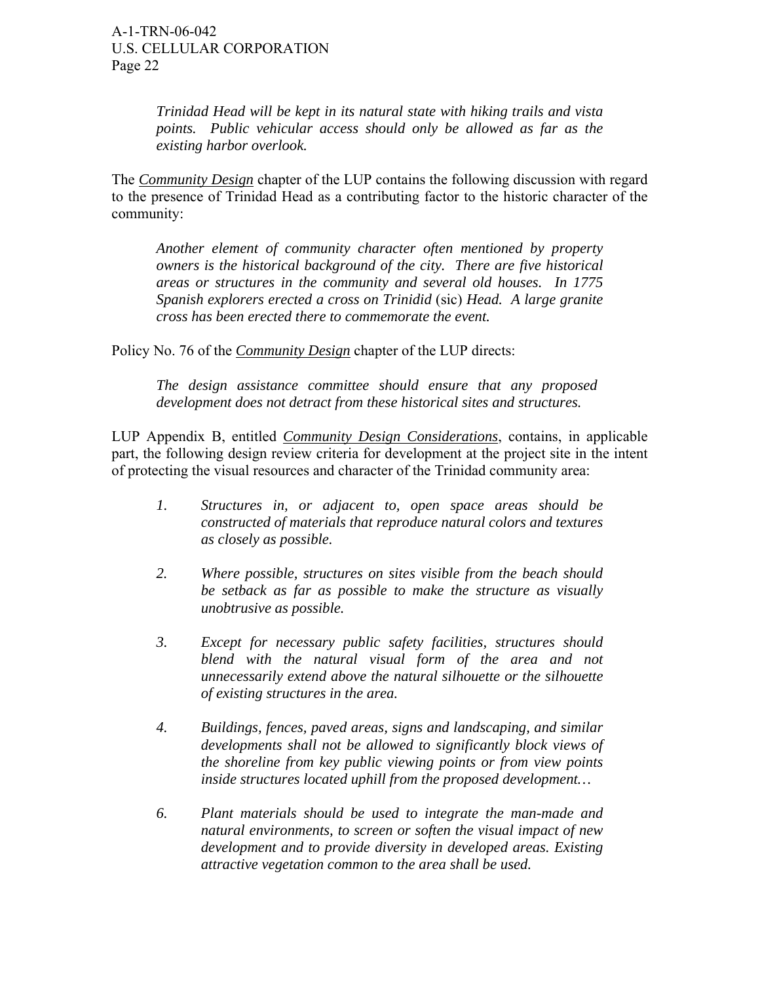*Trinidad Head will be kept in its natural state with hiking trails and vista points. Public vehicular access should only be allowed as far as the existing harbor overlook.* 

The *Community Design* chapter of the LUP contains the following discussion with regard to the presence of Trinidad Head as a contributing factor to the historic character of the community:

*Another element of community character often mentioned by property owners is the historical background of the city. There are five historical areas or structures in the community and several old houses. In 1775 Spanish explorers erected a cross on Trinidid* (sic) *Head. A large granite cross has been erected there to commemorate the event.* 

Policy No. 76 of the *Community Design* chapter of the LUP directs:

*The design assistance committee should ensure that any proposed development does not detract from these historical sites and structures.* 

LUP Appendix B, entitled *Community Design Considerations*, contains, in applicable part, the following design review criteria for development at the project site in the intent of protecting the visual resources and character of the Trinidad community area:

- *1. Structures in, or adjacent to, open space areas should be constructed of materials that reproduce natural colors and textures as closely as possible.*
- *2. Where possible, structures on sites visible from the beach should be setback as far as possible to make the structure as visually unobtrusive as possible.*
- *3. Except for necessary public safety facilities, structures should blend with the natural visual form of the area and not unnecessarily extend above the natural silhouette or the silhouette of existing structures in the area.*
- *4. Buildings, fences, paved areas, signs and landscaping, and similar developments shall not be allowed to significantly block views of the shoreline from key public viewing points or from view points inside structures located uphill from the proposed development…*
- *6. Plant materials should be used to integrate the man-made and natural environments, to screen or soften the visual impact of new development and to provide diversity in developed areas. Existing attractive vegetation common to the area shall be used.*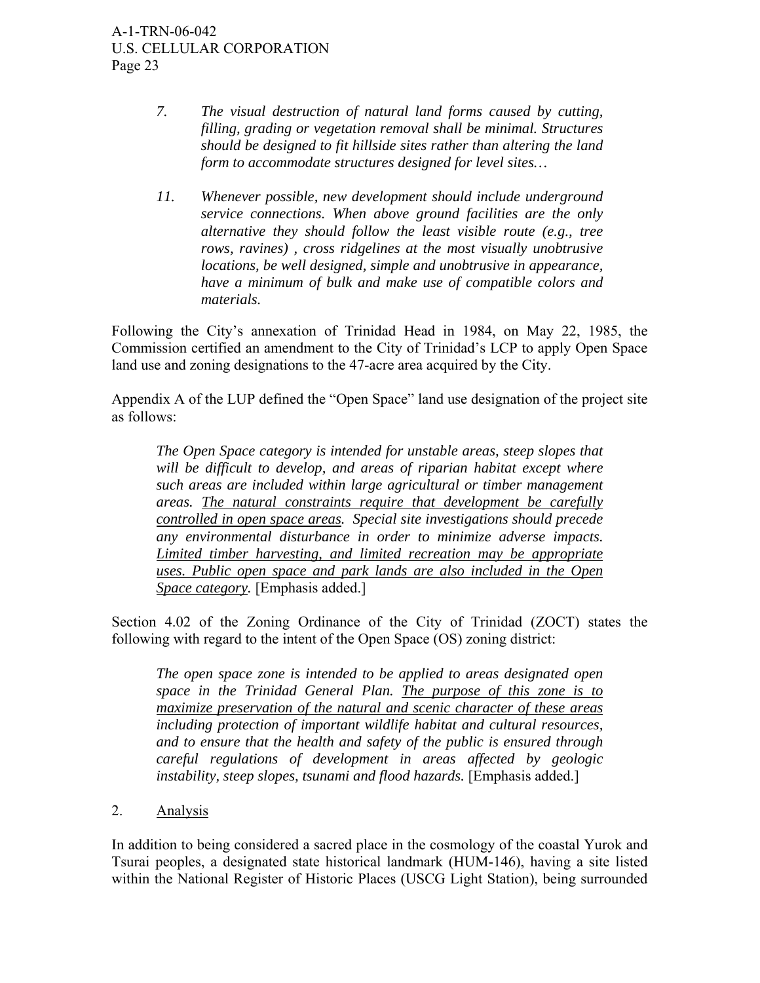- *7. The visual destruction of natural land forms caused by cutting, filling, grading or vegetation removal shall be minimal. Structures should be designed to fit hillside sites rather than altering the land form to accommodate structures designed for level sites…*
- *11. Whenever possible, new development should include underground service connections. When above ground facilities are the only alternative they should follow the least visible route (e.g., tree rows, ravines) , cross ridgelines at the most visually unobtrusive locations, be well designed, simple and unobtrusive in appearance, have a minimum of bulk and make use of compatible colors and materials.*

Following the City's annexation of Trinidad Head in 1984, on May 22, 1985, the Commission certified an amendment to the City of Trinidad's LCP to apply Open Space land use and zoning designations to the 47-acre area acquired by the City.

Appendix A of the LUP defined the "Open Space" land use designation of the project site as follows:

*The Open Space category is intended for unstable areas, steep slopes that will be difficult to develop, and areas of riparian habitat except where such areas are included within large agricultural or timber management areas. The natural constraints require that development be carefully controlled in open space areas. Special site investigations should precede any environmental disturbance in order to minimize adverse impacts. Limited timber harvesting, and limited recreation may be appropriate uses. Public open space and park lands are also included in the Open Space category.* [Emphasis added.]

Section 4.02 of the Zoning Ordinance of the City of Trinidad (ZOCT) states the following with regard to the intent of the Open Space (OS) zoning district:

*The open space zone is intended to be applied to areas designated open space in the Trinidad General Plan. The purpose of this zone is to maximize preservation of the natural and scenic character of these areas including protection of important wildlife habitat and cultural resources, and to ensure that the health and safety of the public is ensured through careful regulations of development in areas affected by geologic instability, steep slopes, tsunami and flood hazards.* [Emphasis added.]

2. Analysis

In addition to being considered a sacred place in the cosmology of the coastal Yurok and Tsurai peoples, a designated state historical landmark (HUM-146), having a site listed within the National Register of Historic Places (USCG Light Station), being surrounded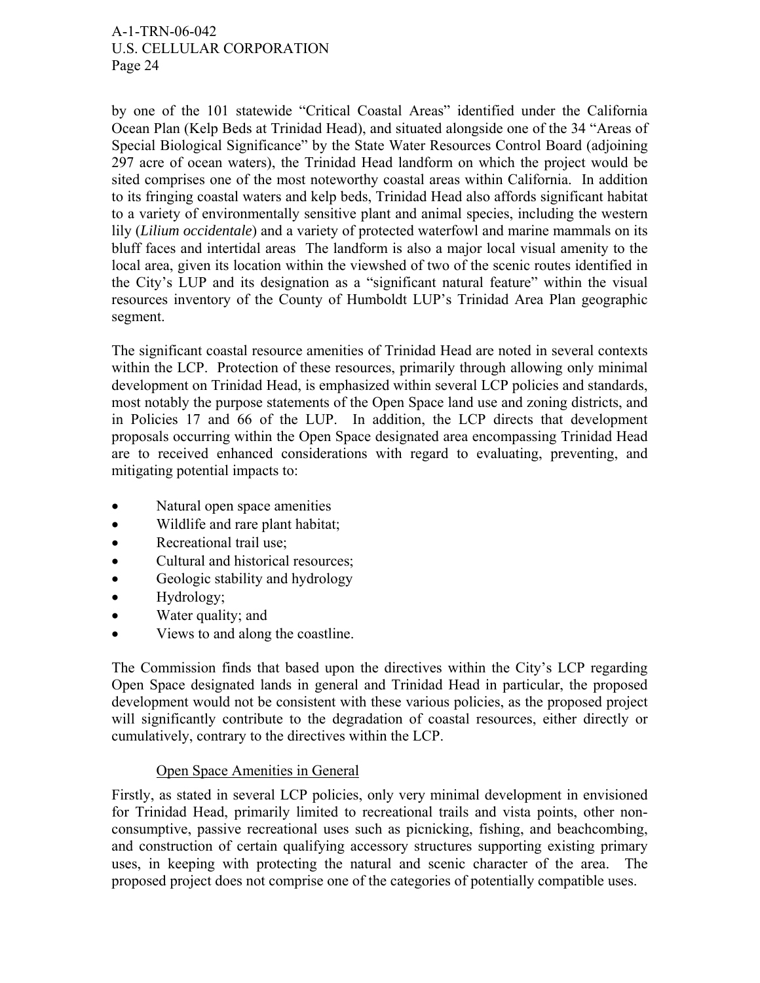by one of the 101 statewide "Critical Coastal Areas" identified under the California Ocean Plan (Kelp Beds at Trinidad Head), and situated alongside one of the 34 "Areas of Special Biological Significance" by the State Water Resources Control Board (adjoining 297 acre of ocean waters), the Trinidad Head landform on which the project would be sited comprises one of the most noteworthy coastal areas within California. In addition to its fringing coastal waters and kelp beds, Trinidad Head also affords significant habitat to a variety of environmentally sensitive plant and animal species, including the western lily (*Lilium occidentale*) and a variety of protected waterfowl and marine mammals on its bluff faces and intertidal areas The landform is also a major local visual amenity to the local area, given its location within the viewshed of two of the scenic routes identified in the City's LUP and its designation as a "significant natural feature" within the visual resources inventory of the County of Humboldt LUP's Trinidad Area Plan geographic segment.

The significant coastal resource amenities of Trinidad Head are noted in several contexts within the LCP. Protection of these resources, primarily through allowing only minimal development on Trinidad Head, is emphasized within several LCP policies and standards, most notably the purpose statements of the Open Space land use and zoning districts, and in Policies 17 and 66 of the LUP. In addition, the LCP directs that development proposals occurring within the Open Space designated area encompassing Trinidad Head are to received enhanced considerations with regard to evaluating, preventing, and mitigating potential impacts to:

- Natural open space amenities
- Wildlife and rare plant habitat;
- Recreational trail use:
- Cultural and historical resources;
- Geologic stability and hydrology
- Hydrology;
- Water quality; and
- Views to and along the coastline.

The Commission finds that based upon the directives within the City's LCP regarding Open Space designated lands in general and Trinidad Head in particular, the proposed development would not be consistent with these various policies, as the proposed project will significantly contribute to the degradation of coastal resources, either directly or cumulatively, contrary to the directives within the LCP.

## Open Space Amenities in General

Firstly, as stated in several LCP policies, only very minimal development in envisioned for Trinidad Head, primarily limited to recreational trails and vista points, other nonconsumptive, passive recreational uses such as picnicking, fishing, and beachcombing, and construction of certain qualifying accessory structures supporting existing primary uses, in keeping with protecting the natural and scenic character of the area. The proposed project does not comprise one of the categories of potentially compatible uses.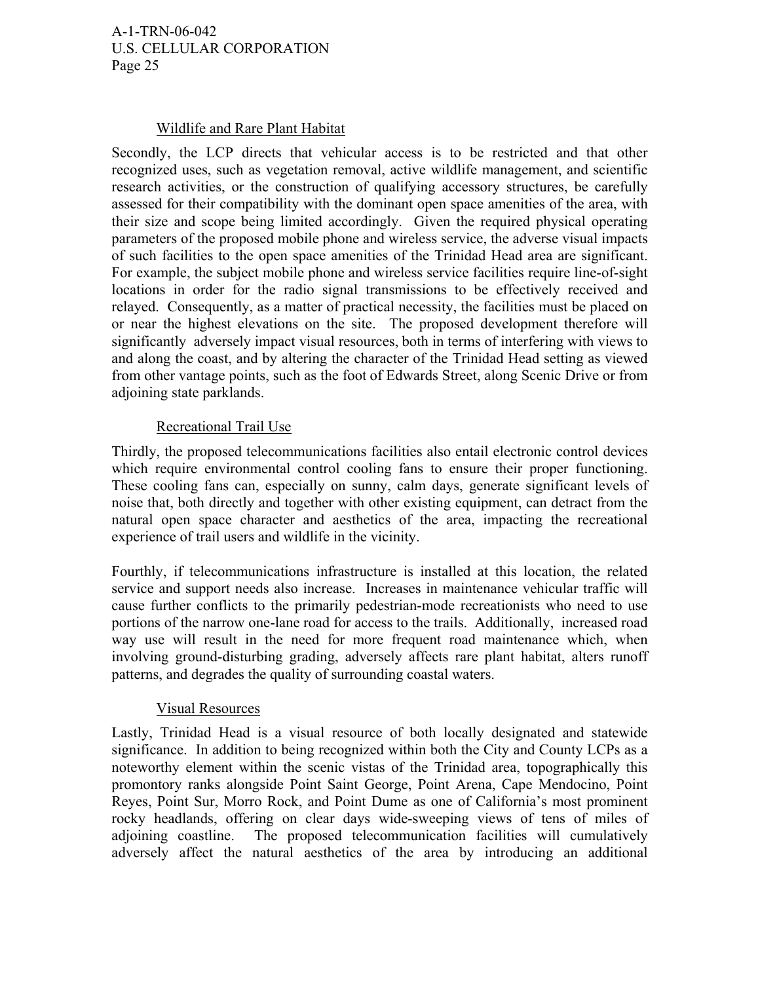#### Wildlife and Rare Plant Habitat

Secondly, the LCP directs that vehicular access is to be restricted and that other recognized uses, such as vegetation removal, active wildlife management, and scientific research activities, or the construction of qualifying accessory structures, be carefully assessed for their compatibility with the dominant open space amenities of the area, with their size and scope being limited accordingly. Given the required physical operating parameters of the proposed mobile phone and wireless service, the adverse visual impacts of such facilities to the open space amenities of the Trinidad Head area are significant. For example, the subject mobile phone and wireless service facilities require line-of-sight locations in order for the radio signal transmissions to be effectively received and relayed. Consequently, as a matter of practical necessity, the facilities must be placed on or near the highest elevations on the site. The proposed development therefore will significantly adversely impact visual resources, both in terms of interfering with views to and along the coast, and by altering the character of the Trinidad Head setting as viewed from other vantage points, such as the foot of Edwards Street, along Scenic Drive or from adjoining state parklands.

#### Recreational Trail Use

Thirdly, the proposed telecommunications facilities also entail electronic control devices which require environmental control cooling fans to ensure their proper functioning. These cooling fans can, especially on sunny, calm days, generate significant levels of noise that, both directly and together with other existing equipment, can detract from the natural open space character and aesthetics of the area, impacting the recreational experience of trail users and wildlife in the vicinity.

Fourthly, if telecommunications infrastructure is installed at this location, the related service and support needs also increase. Increases in maintenance vehicular traffic will cause further conflicts to the primarily pedestrian-mode recreationists who need to use portions of the narrow one-lane road for access to the trails. Additionally, increased road way use will result in the need for more frequent road maintenance which, when involving ground-disturbing grading, adversely affects rare plant habitat, alters runoff patterns, and degrades the quality of surrounding coastal waters.

#### Visual Resources

Lastly, Trinidad Head is a visual resource of both locally designated and statewide significance. In addition to being recognized within both the City and County LCPs as a noteworthy element within the scenic vistas of the Trinidad area, topographically this promontory ranks alongside Point Saint George, Point Arena, Cape Mendocino, Point Reyes, Point Sur, Morro Rock, and Point Dume as one of California's most prominent rocky headlands, offering on clear days wide-sweeping views of tens of miles of adjoining coastline. The proposed telecommunication facilities will cumulatively adversely affect the natural aesthetics of the area by introducing an additional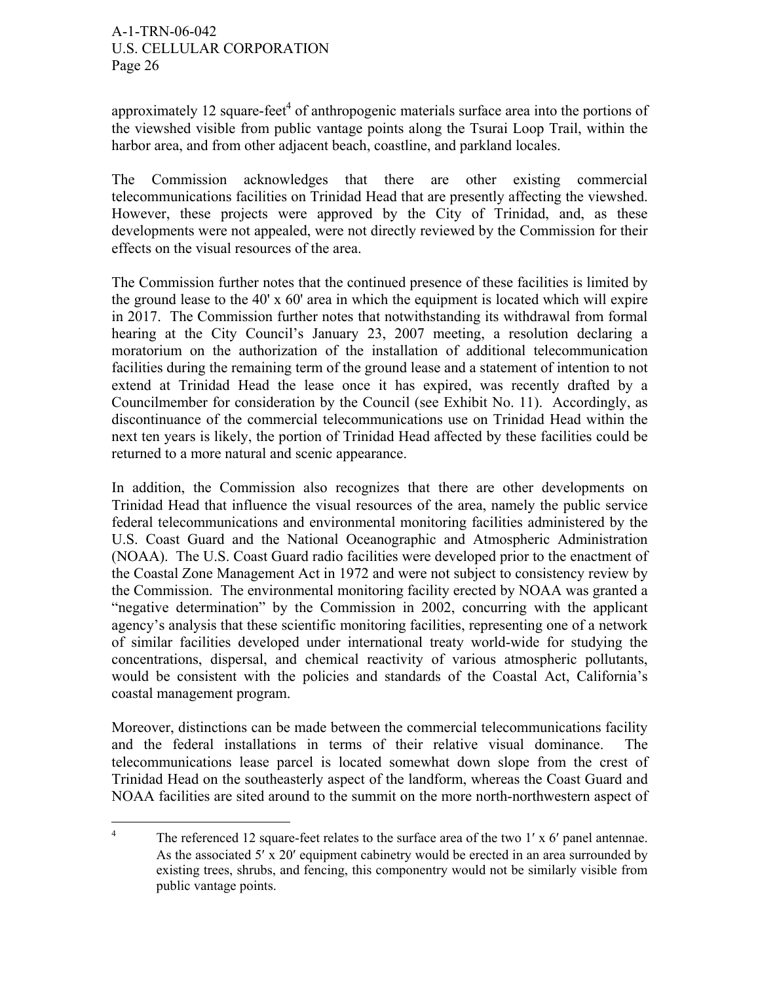approximately 12 square-feet<sup>4</sup> of anthropogenic materials surface area into the portions of the viewshed visible from public vantage points along the Tsurai Loop Trail, within the harbor area, and from other adjacent beach, coastline, and parkland locales.

The Commission acknowledges that there are other existing commercial telecommunications facilities on Trinidad Head that are presently affecting the viewshed. However, these projects were approved by the City of Trinidad, and, as these developments were not appealed, were not directly reviewed by the Commission for their effects on the visual resources of the area.

The Commission further notes that the continued presence of these facilities is limited by the ground lease to the 40' x 60' area in which the equipment is located which will expire in 2017. The Commission further notes that notwithstanding its withdrawal from formal hearing at the City Council's January 23, 2007 meeting, a resolution declaring a moratorium on the authorization of the installation of additional telecommunication facilities during the remaining term of the ground lease and a statement of intention to not extend at Trinidad Head the lease once it has expired, was recently drafted by a Councilmember for consideration by the Council (see Exhibit No. 11). Accordingly, as discontinuance of the commercial telecommunications use on Trinidad Head within the next ten years is likely, the portion of Trinidad Head affected by these facilities could be returned to a more natural and scenic appearance.

In addition, the Commission also recognizes that there are other developments on Trinidad Head that influence the visual resources of the area, namely the public service federal telecommunications and environmental monitoring facilities administered by the U.S. Coast Guard and the National Oceanographic and Atmospheric Administration (NOAA). The U.S. Coast Guard radio facilities were developed prior to the enactment of the Coastal Zone Management Act in 1972 and were not subject to consistency review by the Commission. The environmental monitoring facility erected by NOAA was granted a "negative determination" by the Commission in 2002, concurring with the applicant agency's analysis that these scientific monitoring facilities, representing one of a network of similar facilities developed under international treaty world-wide for studying the concentrations, dispersal, and chemical reactivity of various atmospheric pollutants, would be consistent with the policies and standards of the Coastal Act, California's coastal management program.

Moreover, distinctions can be made between the commercial telecommunications facility and the federal installations in terms of their relative visual dominance. The telecommunications lease parcel is located somewhat down slope from the crest of Trinidad Head on the southeasterly aspect of the landform, whereas the Coast Guard and NOAA facilities are sited around to the summit on the more north-northwestern aspect of

 $\frac{1}{4}$ The referenced 12 square-feet relates to the surface area of the two 1' x 6' panel antennae. As the associated  $5'$  x 20' equipment cabinetry would be erected in an area surrounded by existing trees, shrubs, and fencing, this componentry would not be similarly visible from public vantage points.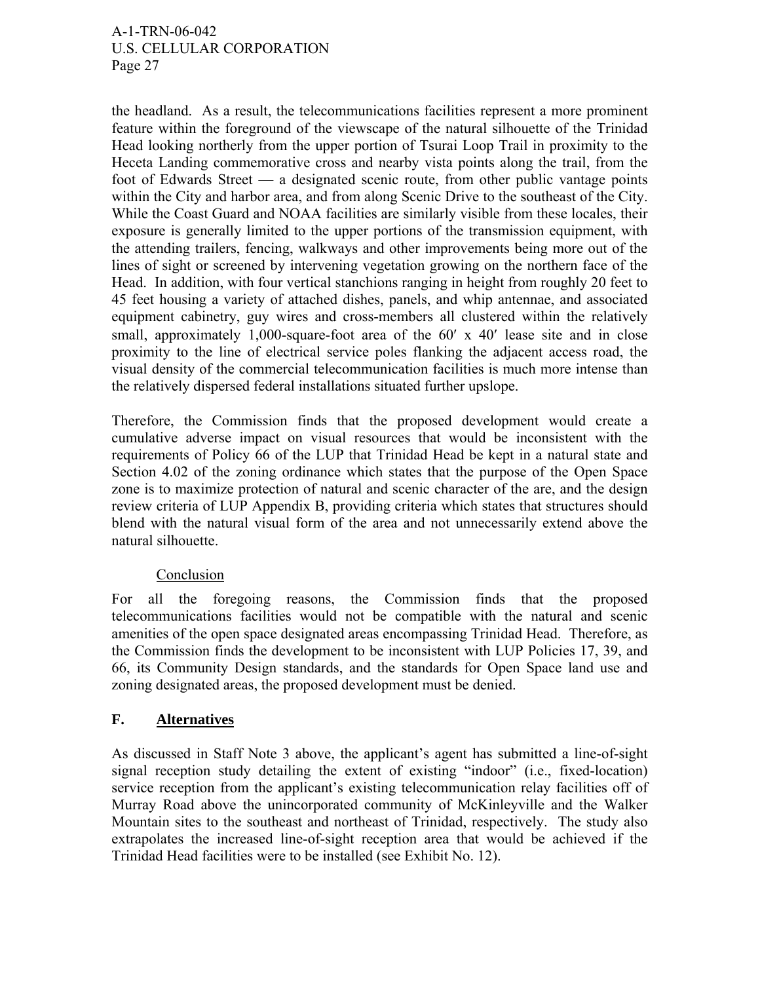the headland. As a result, the telecommunications facilities represent a more prominent feature within the foreground of the viewscape of the natural silhouette of the Trinidad Head looking northerly from the upper portion of Tsurai Loop Trail in proximity to the Heceta Landing commemorative cross and nearby vista points along the trail, from the foot of Edwards Street — a designated scenic route, from other public vantage points within the City and harbor area, and from along Scenic Drive to the southeast of the City. While the Coast Guard and NOAA facilities are similarly visible from these locales, their exposure is generally limited to the upper portions of the transmission equipment, with the attending trailers, fencing, walkways and other improvements being more out of the lines of sight or screened by intervening vegetation growing on the northern face of the Head. In addition, with four vertical stanchions ranging in height from roughly 20 feet to 45 feet housing a variety of attached dishes, panels, and whip antennae, and associated equipment cabinetry, guy wires and cross-members all clustered within the relatively small, approximately 1,000-square-foot area of the 60' x 40' lease site and in close proximity to the line of electrical service poles flanking the adjacent access road, the visual density of the commercial telecommunication facilities is much more intense than the relatively dispersed federal installations situated further upslope.

Therefore, the Commission finds that the proposed development would create a cumulative adverse impact on visual resources that would be inconsistent with the requirements of Policy 66 of the LUP that Trinidad Head be kept in a natural state and Section 4.02 of the zoning ordinance which states that the purpose of the Open Space zone is to maximize protection of natural and scenic character of the are, and the design review criteria of LUP Appendix B, providing criteria which states that structures should blend with the natural visual form of the area and not unnecessarily extend above the natural silhouette.

## Conclusion

For all the foregoing reasons, the Commission finds that the proposed telecommunications facilities would not be compatible with the natural and scenic amenities of the open space designated areas encompassing Trinidad Head. Therefore, as the Commission finds the development to be inconsistent with LUP Policies 17, 39, and 66, its Community Design standards, and the standards for Open Space land use and zoning designated areas, the proposed development must be denied.

## **F. Alternatives**

As discussed in Staff Note 3 above, the applicant's agent has submitted a line-of-sight signal reception study detailing the extent of existing "indoor" (i.e., fixed-location) service reception from the applicant's existing telecommunication relay facilities off of Murray Road above the unincorporated community of McKinleyville and the Walker Mountain sites to the southeast and northeast of Trinidad, respectively. The study also extrapolates the increased line-of-sight reception area that would be achieved if the Trinidad Head facilities were to be installed (see Exhibit No. 12).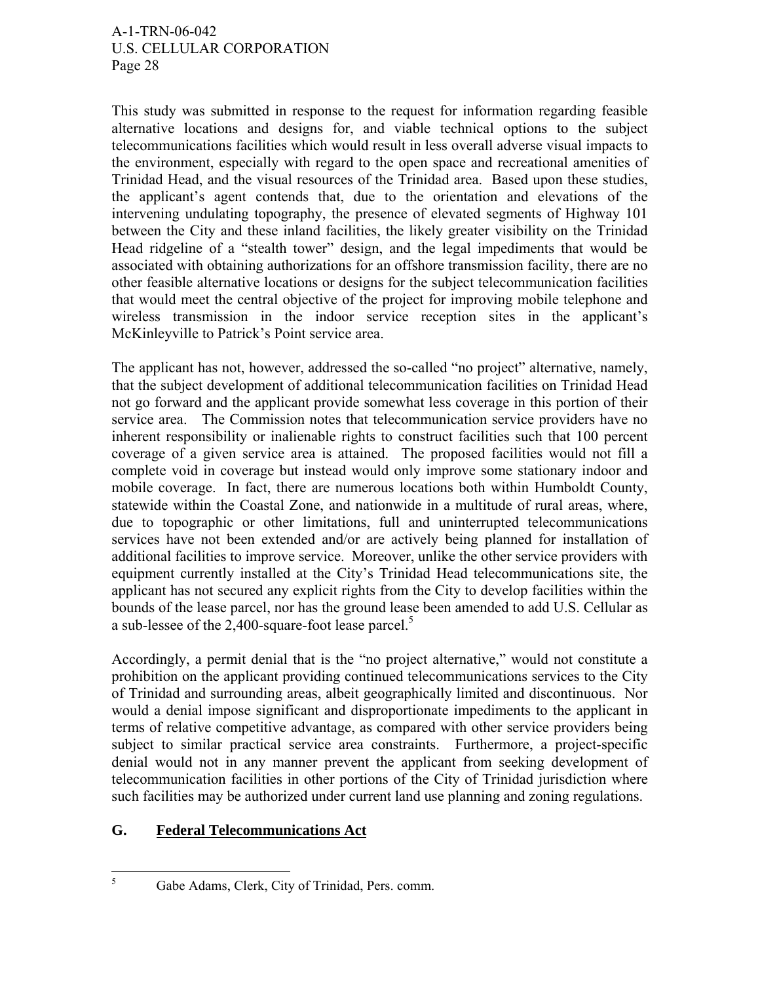This study was submitted in response to the request for information regarding feasible alternative locations and designs for, and viable technical options to the subject telecommunications facilities which would result in less overall adverse visual impacts to the environment, especially with regard to the open space and recreational amenities of Trinidad Head, and the visual resources of the Trinidad area. Based upon these studies, the applicant's agent contends that, due to the orientation and elevations of the intervening undulating topography, the presence of elevated segments of Highway 101 between the City and these inland facilities, the likely greater visibility on the Trinidad Head ridgeline of a "stealth tower" design, and the legal impediments that would be associated with obtaining authorizations for an offshore transmission facility, there are no other feasible alternative locations or designs for the subject telecommunication facilities that would meet the central objective of the project for improving mobile telephone and wireless transmission in the indoor service reception sites in the applicant's McKinleyville to Patrick's Point service area.

The applicant has not, however, addressed the so-called "no project" alternative, namely, that the subject development of additional telecommunication facilities on Trinidad Head not go forward and the applicant provide somewhat less coverage in this portion of their service area. The Commission notes that telecommunication service providers have no inherent responsibility or inalienable rights to construct facilities such that 100 percent coverage of a given service area is attained. The proposed facilities would not fill a complete void in coverage but instead would only improve some stationary indoor and mobile coverage. In fact, there are numerous locations both within Humboldt County, statewide within the Coastal Zone, and nationwide in a multitude of rural areas, where, due to topographic or other limitations, full and uninterrupted telecommunications services have not been extended and/or are actively being planned for installation of additional facilities to improve service. Moreover, unlike the other service providers with equipment currently installed at the City's Trinidad Head telecommunications site, the applicant has not secured any explicit rights from the City to develop facilities within the bounds of the lease parcel, nor has the ground lease been amended to add U.S. Cellular as a sub-lessee of the 2,400-square-foot lease parcel.<sup>5</sup>

Accordingly, a permit denial that is the "no project alternative," would not constitute a prohibition on the applicant providing continued telecommunications services to the City of Trinidad and surrounding areas, albeit geographically limited and discontinuous. Nor would a denial impose significant and disproportionate impediments to the applicant in terms of relative competitive advantage, as compared with other service providers being subject to similar practical service area constraints. Furthermore, a project-specific denial would not in any manner prevent the applicant from seeking development of telecommunication facilities in other portions of the City of Trinidad jurisdiction where such facilities may be authorized under current land use planning and zoning regulations.

## **G. Federal Telecommunications Act**

 $\frac{1}{5}$ Gabe Adams, Clerk, City of Trinidad, Pers. comm.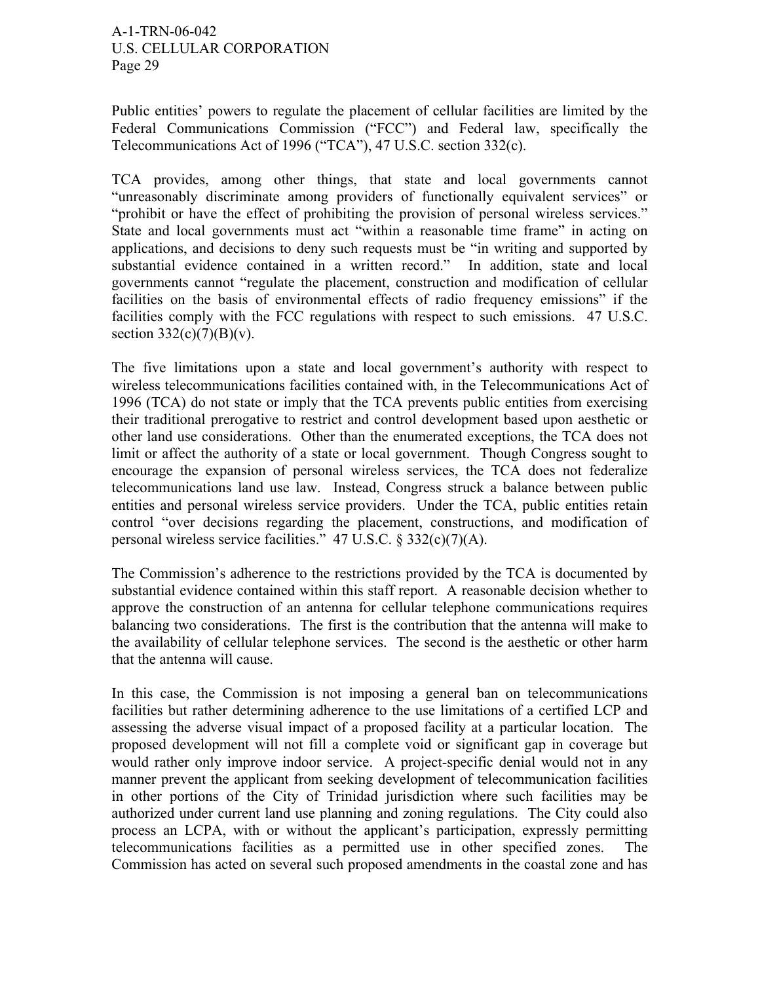Public entities' powers to regulate the placement of cellular facilities are limited by the Federal Communications Commission ("FCC") and Federal law, specifically the Telecommunications Act of 1996 ("TCA"), 47 U.S.C. section 332(c).

TCA provides, among other things, that state and local governments cannot "unreasonably discriminate among providers of functionally equivalent services" or "prohibit or have the effect of prohibiting the provision of personal wireless services." State and local governments must act "within a reasonable time frame" in acting on applications, and decisions to deny such requests must be "in writing and supported by substantial evidence contained in a written record." In addition, state and local governments cannot "regulate the placement, construction and modification of cellular facilities on the basis of environmental effects of radio frequency emissions" if the facilities comply with the FCC regulations with respect to such emissions. 47 U.S.C. section  $332(c)(7)(B)(v)$ .

The five limitations upon a state and local government's authority with respect to wireless telecommunications facilities contained with, in the Telecommunications Act of 1996 (TCA) do not state or imply that the TCA prevents public entities from exercising their traditional prerogative to restrict and control development based upon aesthetic or other land use considerations. Other than the enumerated exceptions, the TCA does not limit or affect the authority of a state or local government. Though Congress sought to encourage the expansion of personal wireless services, the TCA does not federalize telecommunications land use law. Instead, Congress struck a balance between public entities and personal wireless service providers. Under the TCA, public entities retain control "over decisions regarding the placement, constructions, and modification of personal wireless service facilities." 47 U.S.C. § 332(c)(7)(A).

The Commission's adherence to the restrictions provided by the TCA is documented by substantial evidence contained within this staff report. A reasonable decision whether to approve the construction of an antenna for cellular telephone communications requires balancing two considerations. The first is the contribution that the antenna will make to the availability of cellular telephone services. The second is the aesthetic or other harm that the antenna will cause.

In this case, the Commission is not imposing a general ban on telecommunications facilities but rather determining adherence to the use limitations of a certified LCP and assessing the adverse visual impact of a proposed facility at a particular location. The proposed development will not fill a complete void or significant gap in coverage but would rather only improve indoor service. A project-specific denial would not in any manner prevent the applicant from seeking development of telecommunication facilities in other portions of the City of Trinidad jurisdiction where such facilities may be authorized under current land use planning and zoning regulations. The City could also process an LCPA, with or without the applicant's participation, expressly permitting telecommunications facilities as a permitted use in other specified zones. The Commission has acted on several such proposed amendments in the coastal zone and has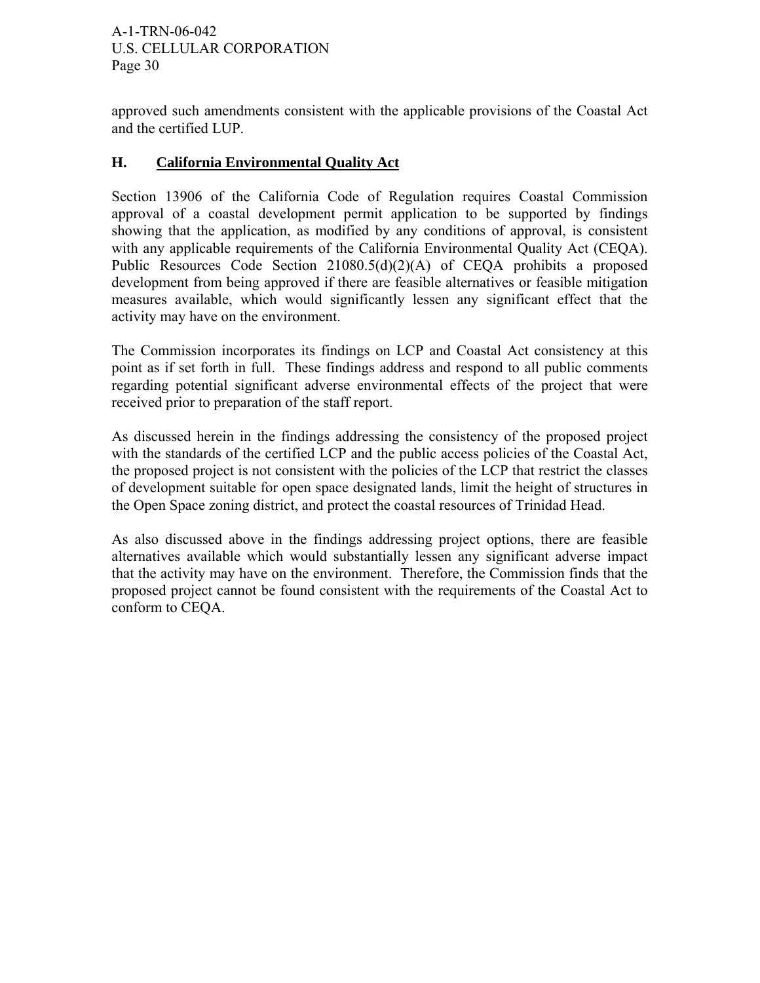approved such amendments consistent with the applicable provisions of the Coastal Act and the certified LUP.

# **H. California Environmental Quality Act**

Section 13906 of the California Code of Regulation requires Coastal Commission approval of a coastal development permit application to be supported by findings showing that the application, as modified by any conditions of approval, is consistent with any applicable requirements of the California Environmental Quality Act (CEQA). Public Resources Code Section 21080.5(d)(2)(A) of CEQA prohibits a proposed development from being approved if there are feasible alternatives or feasible mitigation measures available, which would significantly lessen any significant effect that the activity may have on the environment.

The Commission incorporates its findings on LCP and Coastal Act consistency at this point as if set forth in full. These findings address and respond to all public comments regarding potential significant adverse environmental effects of the project that were received prior to preparation of the staff report.

As discussed herein in the findings addressing the consistency of the proposed project with the standards of the certified LCP and the public access policies of the Coastal Act, the proposed project is not consistent with the policies of the LCP that restrict the classes of development suitable for open space designated lands, limit the height of structures in the Open Space zoning district, and protect the coastal resources of Trinidad Head.

As also discussed above in the findings addressing project options, there are feasible alternatives available which would substantially lessen any significant adverse impact that the activity may have on the environment. Therefore, the Commission finds that the proposed project cannot be found consistent with the requirements of the Coastal Act to conform to CEQA.